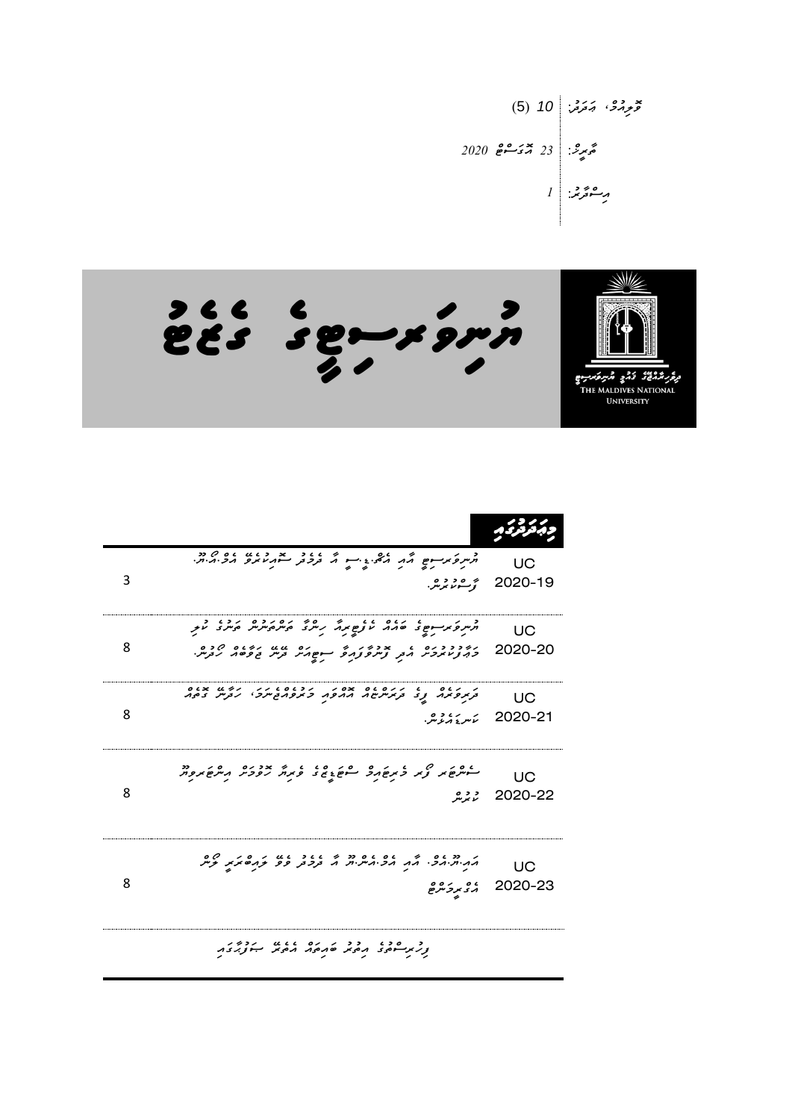و*و*رگ، چترنی: (5) 10  
وَمِرِدُی 23  
وَمِرِنَ: 
$$
\frac{2020}{25 - 55} = 23
$$
  
وِسِوَمِنَی: |



| 3 | הייק בני ישראה הלי גייר ה בכבר להמינים הכיהיה.<br>הייק בני ישראה הלי גייר ה בכבר להמינים הכיהיה.                                                                     | UC<br>2020-19 <i>رُّ-مُنْ بُرْسُ.</i> |
|---|----------------------------------------------------------------------------------------------------------------------------------------------------------------------|---------------------------------------|
| 8 | קייקפֿ אַנאַמ פּוֹנ שְׁאַק אוֹק אַ קוֹפְא אַ קוֹק הוֹק לִינְ ז<br>הזיכבר בא מודיני המוסיף המוסיף הזיכים היום.<br>בריציו מבית בית קיית קבות המוסיק הקייב המיטיק הבית. | UC<br>2020-20                         |
| 8 | ק פנים נגדולים מסיק הכנסייק המשיר בנים.<br>בקודות נגדולים ממפח כמפחדיוקי הניו בסמ                                                                                    | ПC<br>2020-21 ئ <i>ىر</i> ئەنگەنى     |
| 8 | ליתוק את ציו לתוקר ליקוד בי לא אין איריק אין מיקוד ליקוד<br>222                                                                                                      | UC<br>2020-22                         |
| 8 | ה יחידות כי האת הכיתיות ה בנכת פפ תחום האת קיית<br>، <i>ہ</i><br>مرکز مرکز مرض                                                                                       | UC<br>2020-23                         |
|   | relation and deal and the                                                                                                                                            |                                       |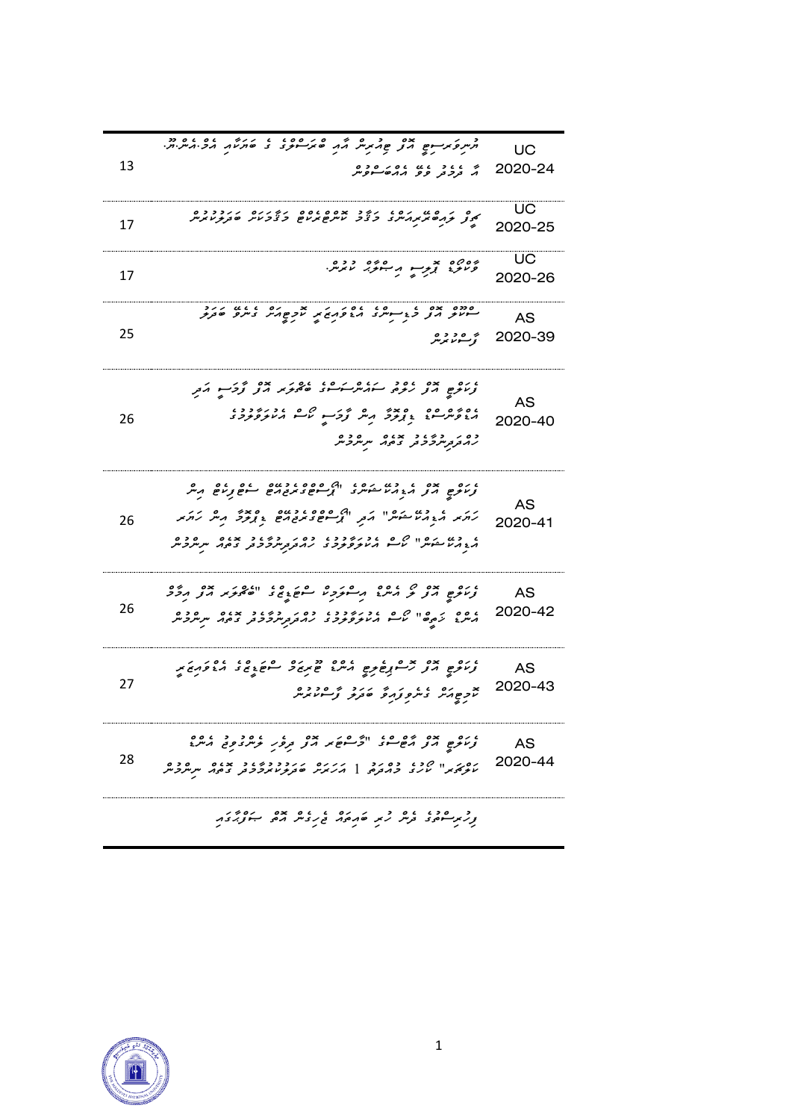|    | תית פעיים שירי פתיקים הת ביציית בי בי מתיאת הכיתיתיותי                                                                             | UC            |
|----|------------------------------------------------------------------------------------------------------------------------------------|---------------|
| 13 | י גיב גע גם גם כם<br>1. נקבת פפ <b>ג</b> ונסי <del>י</del> נקית                                                                    | 2020-24       |
|    |                                                                                                                                    |               |
| 17 | ק ק קוס מיקריית ביציב בספס ספרייק מיקרים בקינו מיקרייקיית.<br>קיצון קודים מיקריית ביציב מייקס מינים ביציבו מיקודי מיקודי           | UC            |
|    |                                                                                                                                    | 2020-25       |
|    | 2006ء پر پورے دورہ<br>ویرو <sub>ی</sub> پر پر پہنوی <sub>د</sub> تابریں                                                            | UC            |
| 17 |                                                                                                                                    | 2020-26       |
|    |                                                                                                                                    |               |
|    | סמם בם בין ייעוד היפה בא מקסימי ביותר סבקיר.<br>היותר הך בין ייעוד היפה בא מקסימי ביותר סבקיר.                                     | AS            |
| 25 | ۇسەر بىر بىر                                                                                                                       | 2020-39       |
|    |                                                                                                                                    |               |
|    | ، ره چې ده ده سرگرم شوه ده در خو څوکسو مر <sub>کز</sub>                                                                            |               |
| 26 |                                                                                                                                    | AS            |
|    | כם ק הק הכבד ב המה "ק ייתובית                                                                                                      | 2020-40       |
|    |                                                                                                                                    |               |
|    |                                                                                                                                    |               |
|    | ו מס ביס הגבר המיני המינים המשמש המינים היים היים.<br>ציותים הצ                                                                    | AS            |
| 26 | קת ה- רשי המילי הת "רבים במבוקם ביניכל הייק קתת                                                                                    | 2020-41       |
|    | ، د» موهر" که ، د بروده ده بر دوره د همه سرهرده<br>مومنامشر اسم منابو وبود و برمورمرفرفتر ومهر سرهرده                              |               |
|    |                                                                                                                                    |               |
|    | ، ده پره ده مرسم و مشرکتر مشتریح د انگریز برای مرکز                                                                                | AS            |
| 26 |                                                                                                                                    | 2020-42       |
|    |                                                                                                                                    |               |
|    |                                                                                                                                    |               |
| 27 | ، ده چې خلسمبرخونو په مهرغ د سومړۍ د ۱۶۵۲م کړ .<br>د مرکز په مرکز مرکز کلیم د سومړۍ د سومړۍ د د کلیم                               | AS<br>2020-43 |
|    | x כפורק בית פניק בינד ביסדרס<br>מקפורת בית פניק ביבוד נבייטוניית                                                                   |               |
|    |                                                                                                                                    |               |
|    | ، ده پره پره ده ده ده پره در ده د ده ده ده ده<br>زراوی از از هسر در افزار در در در در در در در در افزار                            | AS            |
| 28 | ופת וו יזכן כסוכן ו נונס ונוכבדים באוס מסכם.<br>מקד <i>יצי</i> ת " מנג' בהבקם, [ הניתי סב <i>ק קטית ככ</i> ב, בסה מנמ <i>ק ב</i> מ | 2020-44       |
|    |                                                                                                                                    |               |
|    | د در ۵۶۰ تا ۵ د د ۱۵۸۵ تا ۵۲ تا ۵۶۸ د ۱۶۸۶.<br>در دستوری در سر د در ۱۹۵۸ تا در در مرد بود برد د                                    |               |
|    |                                                                                                                                    |               |

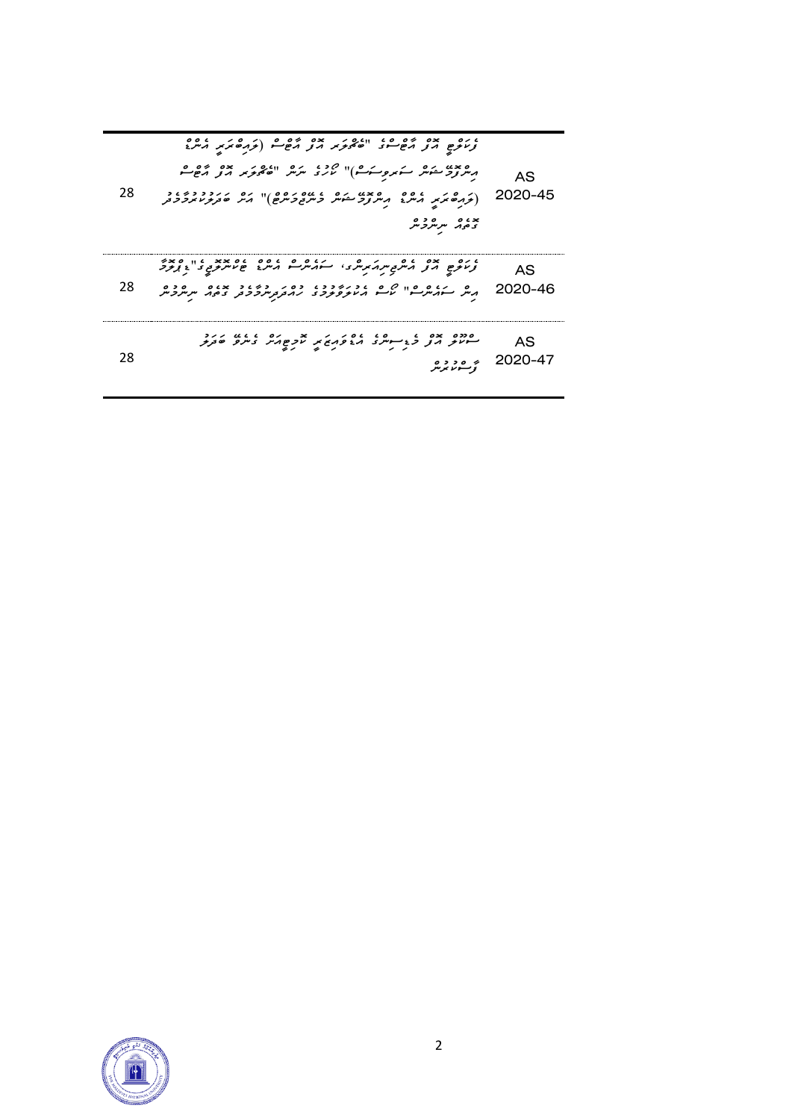| ده و سرگرد گر<br>و در ده و در مرد سرم مرکز در استفاده و در در دور در دور در دور در دور در دور در دور در دور در دور در دور در دو<br>در در دور در در در دور در دور در دور در دور در دور در دور در دور در دور در دور در دور در دور در دور در دور در<br>AS.<br>28<br>2020-46 - پریگر سرورشوا از عرب دور در دور دور دور سربرویر<br>2020-46 - پریگر سرورشوا از کرسو بر در مربر بر دور دور سربرویر |
|---------------------------------------------------------------------------------------------------------------------------------------------------------------------------------------------------------------------------------------------------------------------------------------------------------------------------------------------------------------------------------------------|
|                                                                                                                                                                                                                                                                                                                                                                                             |

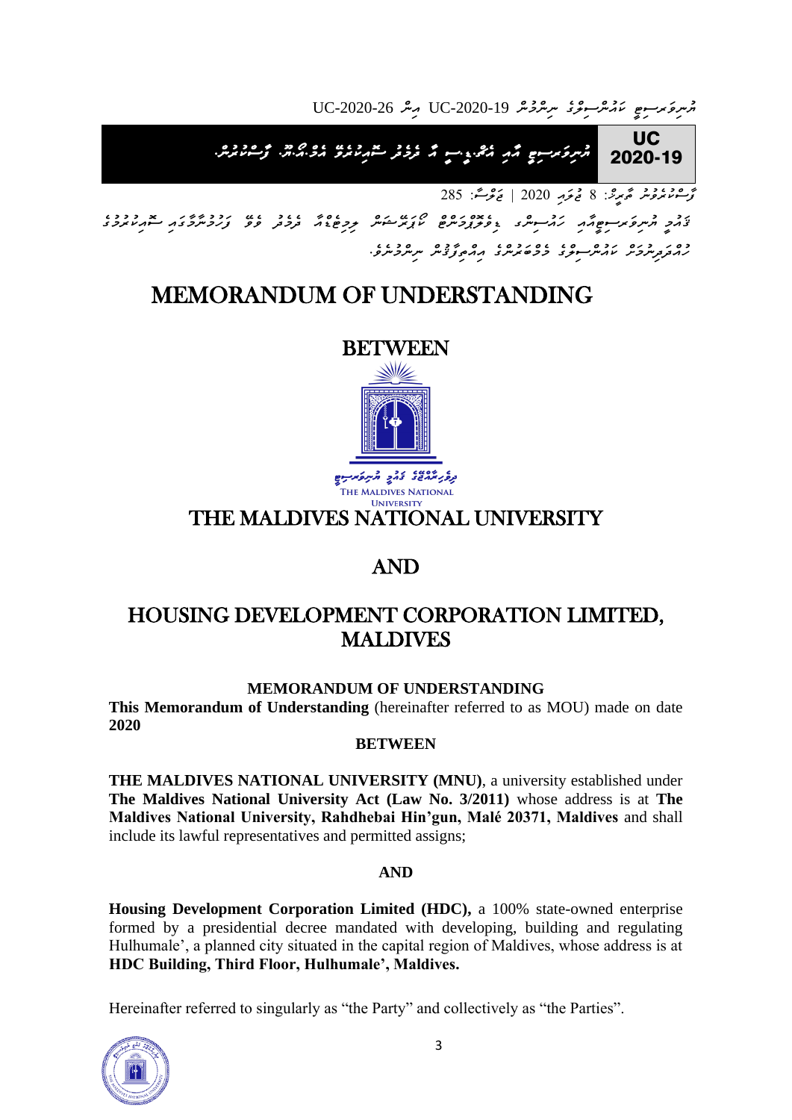*ޔުނިވަރސިޓީ ކައުންސިލްގެ ނިންމުން* -2020-19UC *އިން* -2020-26UC

UC *ޔުނިވަރސިޓީ އާއި އެޗް .ޑީ . ސީ އާ ދެމެދު ސޮއިކުރެވ އެމް . އޯ . ޔޫ . ފާސްކުރުން .* 2020-19

*ފާސްކުރެވުނު ތާރީޚ:ް 8 ޖުލައި 2020 | ޖަލްސ:ާ 285* 

*ޤައުމީ ޔުނިވަރސިޓީއާއި ހައުސިންގ ޑިވެލޮޕްމަންޓް ކޯޕަރ ޝަން ލިމިޓެޑްއާ ދެމެދު ވެވ ފަހުމުނާމާގައި ސޮއިކުރުމުގެ ހުއްދަދިނުމަށް ކައުންސިލްގެ މެމްބަރުންގެ އިއްތިފާޤުން ނިންމުނެވ.ެ* 

# MEMORANDUM OF UNDERSTANDING



## THE MALDIVES NATIONAL UNIVERSITY

# AND

## HOUSING DEVELOPMENT CORPORATION LIMITED, **MALDIVES**

### **MEMORANDUM OF UNDERSTANDING**

**This Memorandum of Understanding** (hereinafter referred to as MOU) made on date **2020**

### **BETWEEN**

**THE MALDIVES NATIONAL UNIVERSITY (MNU)**, a university established under **The Maldives National University Act (Law No. 3/2011)** whose address is at **The Maldives National University, Rahdhebai Hin'gun, Malé 20371, Maldives** and shall include its lawful representatives and permitted assigns;

### **AND**

**Housing Development Corporation Limited (HDC),** a 100% state-owned enterprise formed by a presidential decree mandated with developing, building and regulating Hulhumale', a planned city situated in the capital region of Maldives, whose address is at **HDC Building, Third Floor, Hulhumale', Maldives.**

Hereinafter referred to singularly as "the Party" and collectively as "the Parties".

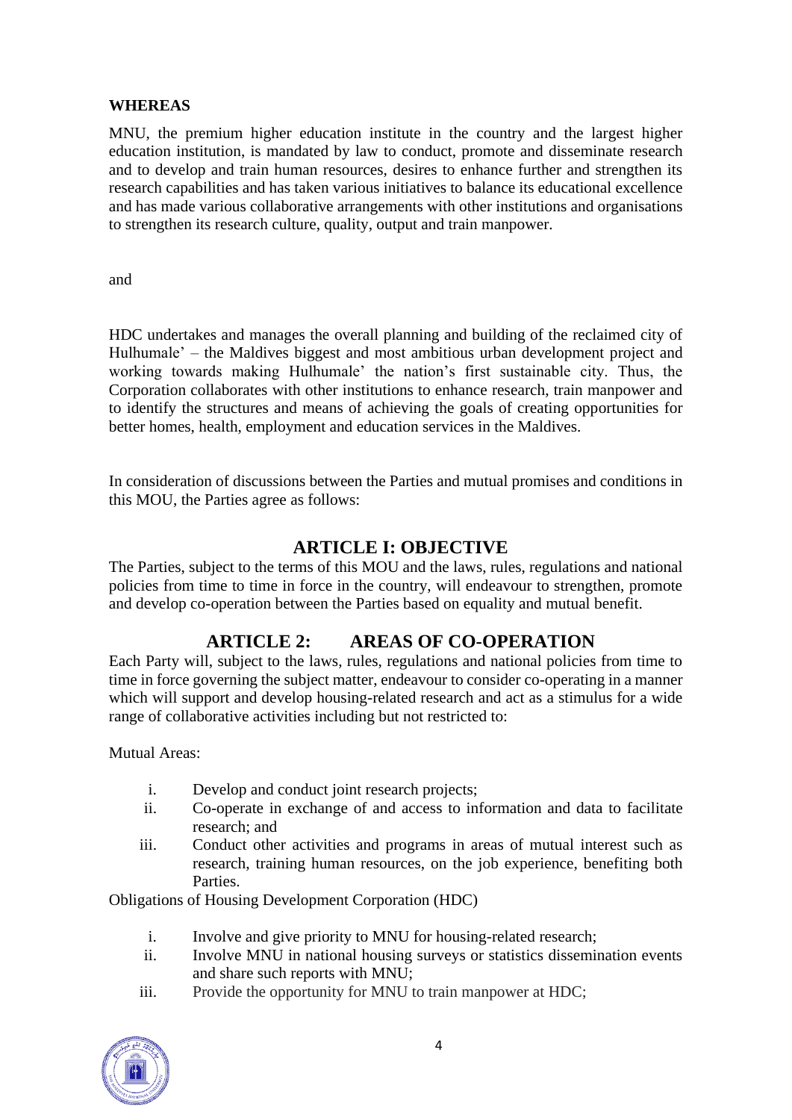#### **WHEREAS**

MNU, the premium higher education institute in the country and the largest higher education institution, is mandated by law to conduct, promote and disseminate research and to develop and train human resources, desires to enhance further and strengthen its research capabilities and has taken various initiatives to balance its educational excellence and has made various collaborative arrangements with other institutions and organisations to strengthen its research culture, quality, output and train manpower.

• and

• HDC undertakes and manages the overall planning and building of the reclaimed city of Hulhumale' – the Maldives biggest and most ambitious urban development project and working towards making Hulhumale' the nation's first sustainable city. Thus, the Corporation collaborates with other institutions to enhance research, train manpower and to identify the structures and means of achieving the goals of creating opportunities for better homes, health, employment and education services in the Maldives.

• In consideration of discussions between the Parties and mutual promises and conditions in this MOU, the Parties agree as follows:

#### **ARTICLE I: OBJECTIVE**

The Parties, subject to the terms of this MOU and the laws, rules, regulations and national policies from time to time in force in the country, will endeavour to strengthen, promote and develop co-operation between the Parties based on equality and mutual benefit.

### **ARTICLE 2: AREAS OF CO-OPERATION**

Each Party will, subject to the laws, rules, regulations and national policies from time to time in force governing the subject matter, endeavour to consider co-operating in a manner which will support and develop housing-related research and act as a stimulus for a wide range of collaborative activities including but not restricted to:

Mutual Areas:

- i. Develop and conduct joint research projects;
- ii. Co-operate in exchange of and access to information and data to facilitate research; and
- iii. Conduct other activities and programs in areas of mutual interest such as research, training human resources, on the job experience, benefiting both Parties.

Obligations of Housing Development Corporation (HDC)

- i. Involve and give priority to MNU for housing-related research;
- ii. Involve MNU in national housing surveys or statistics dissemination events and share such reports with MNU;
- iii. Provide the opportunity for MNU to train manpower at HDC;

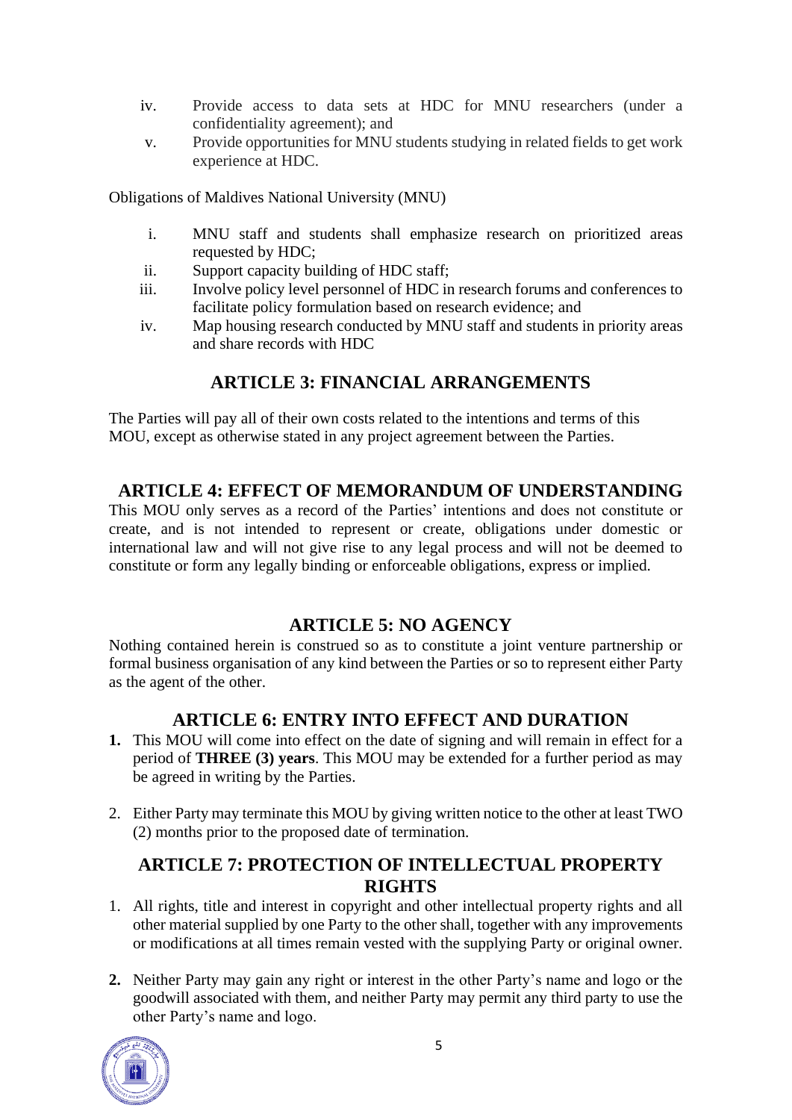- iv. Provide access to data sets at HDC for MNU researchers (under a confidentiality agreement); and
- v. Provide opportunities for MNU students studying in related fields to get work experience at HDC.

Obligations of Maldives National University (MNU)

- i. MNU staff and students shall emphasize research on prioritized areas requested by HDC;
- ii. Support capacity building of HDC staff;
- iii. Involve policy level personnel of HDC in research forums and conferences to facilitate policy formulation based on research evidence; and
- iv. Map housing research conducted by MNU staff and students in priority areas and share records with HDC

### **ARTICLE 3: FINANCIAL ARRANGEMENTS**

The Parties will pay all of their own costs related to the intentions and terms of this MOU, except as otherwise stated in any project agreement between the Parties.

### **ARTICLE 4: EFFECT OF MEMORANDUM OF UNDERSTANDING**

This MOU only serves as a record of the Parties' intentions and does not constitute or create, and is not intended to represent or create, obligations under domestic or international law and will not give rise to any legal process and will not be deemed to constitute or form any legally binding or enforceable obligations, express or implied.

### **ARTICLE 5: NO AGENCY**

Nothing contained herein is construed so as to constitute a joint venture partnership or formal business organisation of any kind between the Parties or so to represent either Party as the agent of the other.

### **ARTICLE 6: ENTRY INTO EFFECT AND DURATION**

- **1.** This MOU will come into effect on the date of signing and will remain in effect for a period of **THREE (3) years**. This MOU may be extended for a further period as may be agreed in writing by the Parties.
- 2. Either Party may terminate this MOU by giving written notice to the other at least TWO (2) months prior to the proposed date of termination.

### **ARTICLE 7: PROTECTION OF INTELLECTUAL PROPERTY RIGHTS**

- 1. All rights, title and interest in copyright and other intellectual property rights and all other material supplied by one Party to the other shall, together with any improvements or modifications at all times remain vested with the supplying Party or original owner.
- **2.** Neither Party may gain any right or interest in the other Party's name and logo or the goodwill associated with them, and neither Party may permit any third party to use the other Party's name and logo.

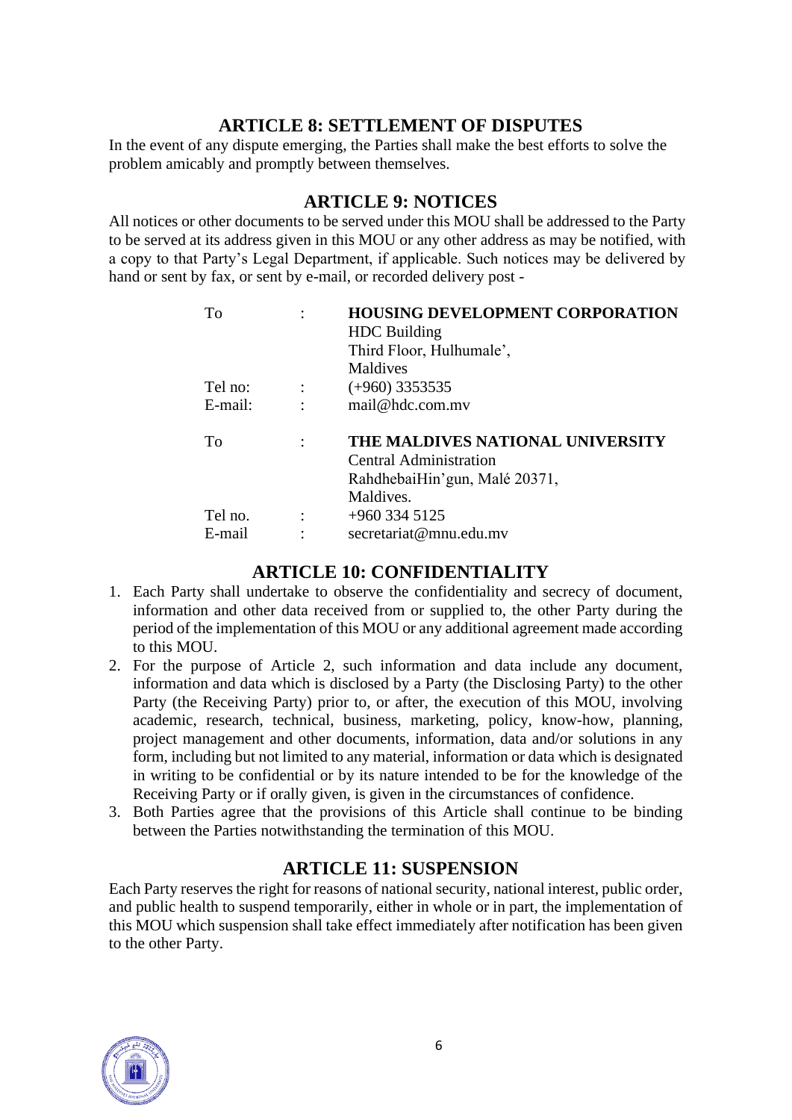### **ARTICLE 8: SETTLEMENT OF DISPUTES**

In the event of any dispute emerging, the Parties shall make the best efforts to solve the problem amicably and promptly between themselves.

### **ARTICLE 9: NOTICES**

All notices or other documents to be served under this MOU shall be addressed to the Party to be served at its address given in this MOU or any other address as may be notified, with a copy to that Party's Legal Department, if applicable. Such notices may be delivered by hand or sent by fax, or sent by e-mail, or recorded delivery post -

| To      |                      | <b>HOUSING DEVELOPMENT CORPORATION</b><br><b>HDC</b> Building<br>Third Floor, Hulhumale',<br>Maldives    |
|---------|----------------------|----------------------------------------------------------------------------------------------------------|
| Tel no: | $\ddot{\phantom{a}}$ | $(+960)$ 3353535                                                                                         |
| E-mail: |                      | mail@hdc.com.mv                                                                                          |
| To      |                      | THE MALDIVES NATIONAL UNIVERSITY<br>Central Administration<br>RahdhebaiHin'gun, Malé 20371,<br>Maldives. |
| Tel no. |                      | $+960$ 334 5125                                                                                          |
| E-mail  |                      | secretariat@mnu.edu.mv                                                                                   |

### **ARTICLE 10: CONFIDENTIALITY**

- 1. Each Party shall undertake to observe the confidentiality and secrecy of document, information and other data received from or supplied to, the other Party during the period of the implementation of this MOU or any additional agreement made according to this MOU.
- 2. For the purpose of Article 2, such information and data include any document, information and data which is disclosed by a Party (the Disclosing Party) to the other Party (the Receiving Party) prior to, or after, the execution of this MOU, involving academic, research, technical, business, marketing, policy, know-how, planning, project management and other documents, information, data and/or solutions in any form, including but not limited to any material, information or data which is designated in writing to be confidential or by its nature intended to be for the knowledge of the Receiving Party or if orally given, is given in the circumstances of confidence.
- 3. Both Parties agree that the provisions of this Article shall continue to be binding between the Parties notwithstanding the termination of this MOU.

### **ARTICLE 11: SUSPENSION**

Each Party reserves the right for reasons of national security, national interest, public order, and public health to suspend temporarily, either in whole or in part, the implementation of this MOU which suspension shall take effect immediately after notification has been given to the other Party.

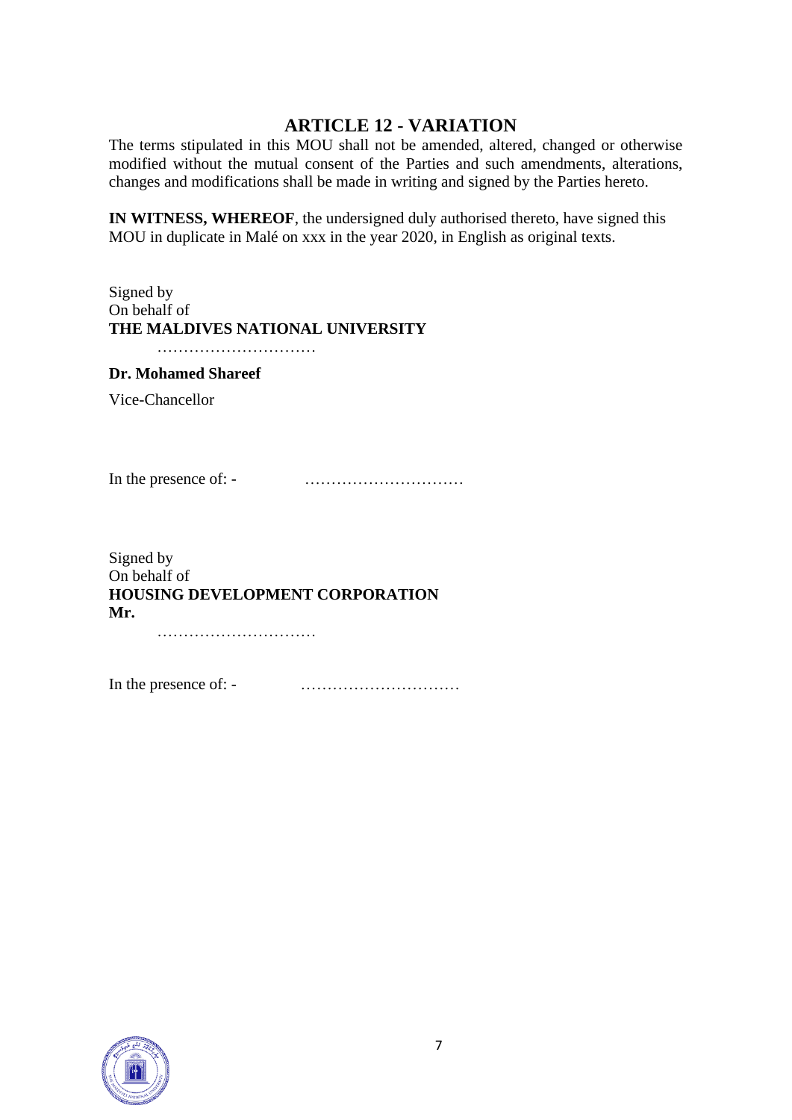### **ARTICLE 12 - VARIATION**

The terms stipulated in this MOU shall not be amended, altered, changed or otherwise modified without the mutual consent of the Parties and such amendments, alterations, changes and modifications shall be made in writing and signed by the Parties hereto.

**IN WITNESS, WHEREOF**, the undersigned duly authorised thereto, have signed this MOU in duplicate in Malé on xxx in the year 2020, in English as original texts.

#### Signed by On behalf of **THE MALDIVES NATIONAL UNIVERSITY**

…………………………

#### **Dr. Mohamed Shareef**

Vice-Chancellor

In the presence of: - …………………………

Signed by On behalf of **HOUSING DEVELOPMENT CORPORATION Mr.**

…………………………

In the presence of: - …………………………

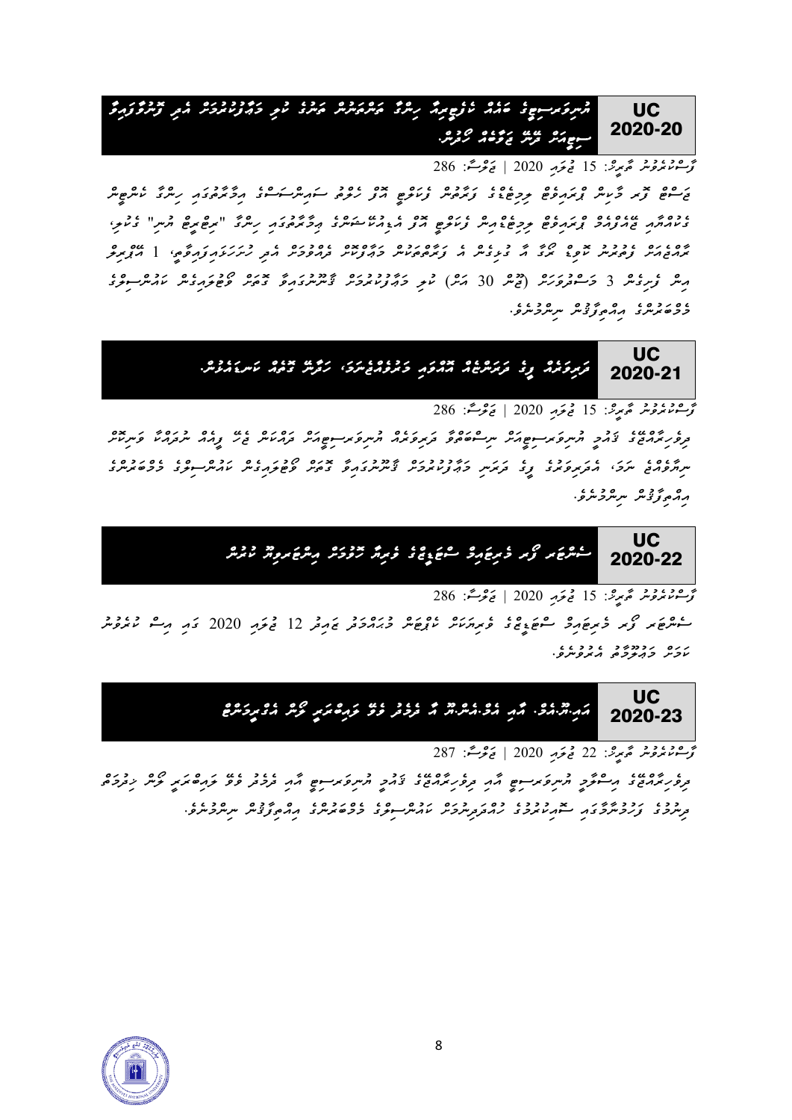**UC** 2020-20 مس كرسوغ حداد الموضية المراكز من المراكز على المراكز والمراكز المراكز والمراكز والمراكز والمراكز والمراكز والمر<br>مس المراكز المراكز المراكز المراكز المراكز المراكز المراكز المراكز المراكز والمراكز المراكز والمراكز والمراكز *ސިޓީއަށް ދ ނ ޖަވާބެއް ހޯދުން .* 

*ފާސްކުރެވުނު ތާރީޚ:ް 15 ޖުލައި 2020 | ޖަލްސ:ާ 286 ޖަސްޓް ފޮރ މާކިން ޕްރައިވެޓް ލިމިޓެޑްގެ ފަރާތުން ފެކަލްޓީ އޮފް ހެލްތު ސައިންސަސްގެ އިމާރާތުގައި ހިންގާ ކެންޓީން ގެކުއްޔާއި ޖ އެފްއެމް ޕްރައިވެޓް ލިމިޓެޑްއިން ފެކަލްޓީ އޮފް އެޑިއުކ ޝަންގެ ޢިމާރާތުގައި ހިންގާ " ރިޓްރީޓް ޔުނި " ގެކުލި ، ރާއްޖެއަށް ފެތުރުނު ކޮވިޑް ރޯގާ އާ ގުޅިގެން އެ ފަރާތްތަކުން މަޢާފްކޮށް ދެއްވުމަށް އެދި ހުށަހަޅައިފައިވާތ،ީ 1 އ ޕްރިލް* مِسْ کُرِمِدۡ کَ حُسِسُورِ (قَرْصٌ 30 کَمَرٌ) کُمْ حَدِیْرِ 19 کَمَرُ نَسِسِرَدَ نَمِّ عَوْمِ 19 کَمَرُسِ مِرَّ<br>مِسْ کُرِمِدۡدَ 19 کَسِسُورِمَرُ (قَصَرُ 30 کَمَرٌ) کُمْ حَدِیْرِ 19 کَمَرٌ نَسِسِرَدَ نَمِّ عَوْمِ 19 کَمَرُ *މެމްބަރުންގެ އިއްތިފާޤުން ނިންމުނެވ.ެ*



*ފާސްކުރެވުނު ތާރީޚ:ް 15 ޖުލައި 2020 | ޖަލްސ:ާ 286* 

*ދިވެހިރާއްޖ ގެ ޤައުމީ ޔުނިވަރސިޓީއަށް ނިސްބަތްވާ ދަރިވަރެއް ޔުނިވަރސިޓީއަށް ދައްކަން ޖެހ ފީއެއް ނުދައްކާ ވަނިކޮށް ނިޔާވެއްޖެ ނަމ،ަ އެދަރިވަރުގެ ފީގެ ދަރަނި މަޢާފުކުރުމަށް ޤާނޫނުގައިވާ ގޮތަށް ވޯޓުލައިގެން ކައުންސިލްގެ މެމްބަރުންގެ އިއްތިފާޤުން ނިންމުނެވ.ެ* 



*ފާސްކުރެވުނު ތާރީޚ:ް 15 ޖުލައި 2020 | ޖަލްސ:ާ 286* 

*ސެންޓަރ ފޯރ މެރިޓައިމް ސްޓަޑީޒްގެ ވެރިޔަކަށް ކެޕްޓަން މުޙައްމަދު ޒައިދު 12 ޖުލައި 2020 ގައި އިސް ކުރެވުނު ކަމަށް މަޢުލޫމާތު އެރުވުނެވ.ެ* 



*ފާސްކުރެވުނު ތާރީޚ:ް 22 ޖުލައި 2020 | ޖަލްސ:ާ 287* 

*ދިވެހިރާއްޖ ގެ އިސްލާމީ ޔުނިވަރސިޓީ އާއި ދިވެހިރާއްޖ ގެ ޤައުމީ ޔުނިވަރސިޓީ އާއި ދެމެދު ވެވ ލައިބްރަރީ ލޯން ޚިދުމަތް ދިނުމުގެ ފަހުމުނާމާގައި ސޮއިކުރުމުގެ ހުއްދަދިނުމަށް ކައުންސިލްގެ މެމްބަރުންގެ އިއްތިފާޤުން ނިންމުނެވ.ެ* 

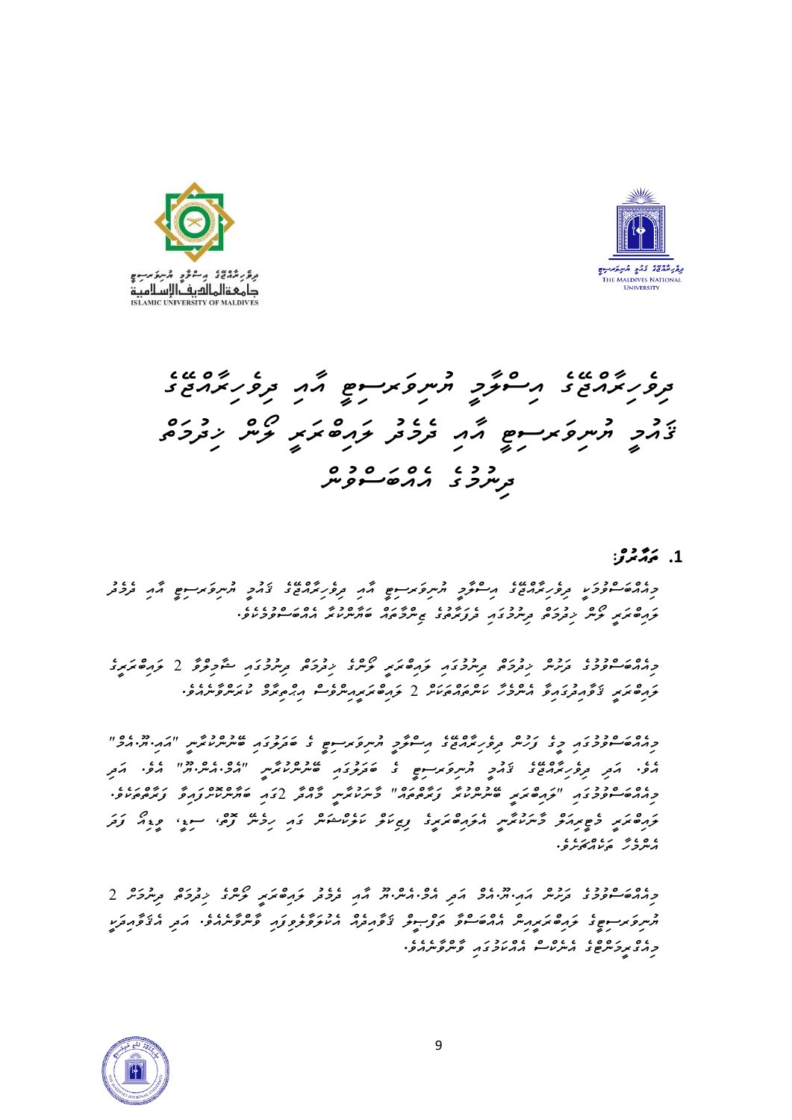



*ދިވެހިރާއްޖޭގެ އިސްލާމީ ޔުނިވަރސިޓީ އާއި ދިވެހިރާއްޖޭގެ ޤައުމީ ޔުނިވަރސިޓީ އާއި ދެމެދު ލައިބްރަރީ ލޯން ޚިދުމަތް*  <del>د د د د د د د د</del><br>ترسرحر د مرد *ه سوو*س

### **.1** *ތައާރުފ:ް*

*މިއެއްބަސްވުމަކީ ދިވެހިރާއްޖޭގެ އިސްލާމީ ޔުނިވަރސިޓީ އާއި ދިވެހިރާއްޖޭގެ ޤައުމީ ޔުނިވަރސިޓީ އާއި ދެމެދު ލައިބްރަރީ ލޯން ޚިދުމަތް ދިނުމުގައި ދެފަރާތުގެ ޒިންމާތައް ބަޔާންކުރާ އެއްބަސްވުމެކެވ.ެ* 

*މިއެއްބަސްވުމުގެ ދަށުން ޚިދުމަތް ދިނުމުގައި ލައިބްރަރީ ލޯންގެ ޚިދުމަތް ދިނުމުގައި ޝާމިލްވާ 2 ލައިބްރަރީގެ ލައިބްރަރީ ޤަވާއިދުގައިވާ އެންމެހާ ކަންތައްތަކަށް 2 ލައިބްރަރީއިންވެސް އިޙްތިރާމް ކުރަންވާނެއެވ.ެ* 

*މިއެއްބަސްވުމުގައި މީގެ ފަހުން ދިވެހިރާއްޖޭގެ އިސްލާމީ ޔުނިވަރސިޓީ ގެ ބަދަލުގައި ބޭނުންކުރާނީ "އައ.ިޔ.ޫއެމް"*  ے کے مرکز عدد ۱۶۵۶ مرکز کے مردور سے ۲۵۵۵ میں ۲۵۵۵ مرکز اور مرکز کردیا۔<br>مرکز مرکز کرونرمرمربی کامر شروک کردی کے مرکز کامرکز کردیا کردیا کردیا۔ امرکز *މިއެއްބަސްވުމުގައި "ލައިބްރަރީ ބޭނުންކުރާ ފަރާތްތައް" މާނަކުރާނީ މާއްދާ 2ގައި ބަޔާންކޮށްފައިވާ ފަރާތްތަކެވ.ެ*  <del>َ</del> *އެންމެހާ ތަކެއްޗަށެވ.ެ* 

*މިއެއްބަސްވުމުގެ ދަށުން އައ.ިޔ.ޫއެމް އަދި އެމ.ްއެނ.ްޔޫ އާއި ދެމެދު ލައިބްރަރީ ލޯންގެ ޚިދުމަތް ދިނުމަށް 2* ح مسروکر سوم کے دورہ محمد محمد علم علم علم دورہ کے دورہ دورہ کے دورہ کردیا کے دورہ کردیا کے دورہ کردیا کے دورہ<br>اس کا علم کے دورہ مریر اس اللہ علم اللہ کا ان کا ان کا ان کا ان کا ان کا ان کا ان کا ان کا ان کا ان کا ان کا ا *މިއެގްރީމަންޓްގެ އެނެކްސް އެއްކަމުގައި ވާންވާނެއެވ.ެ* 

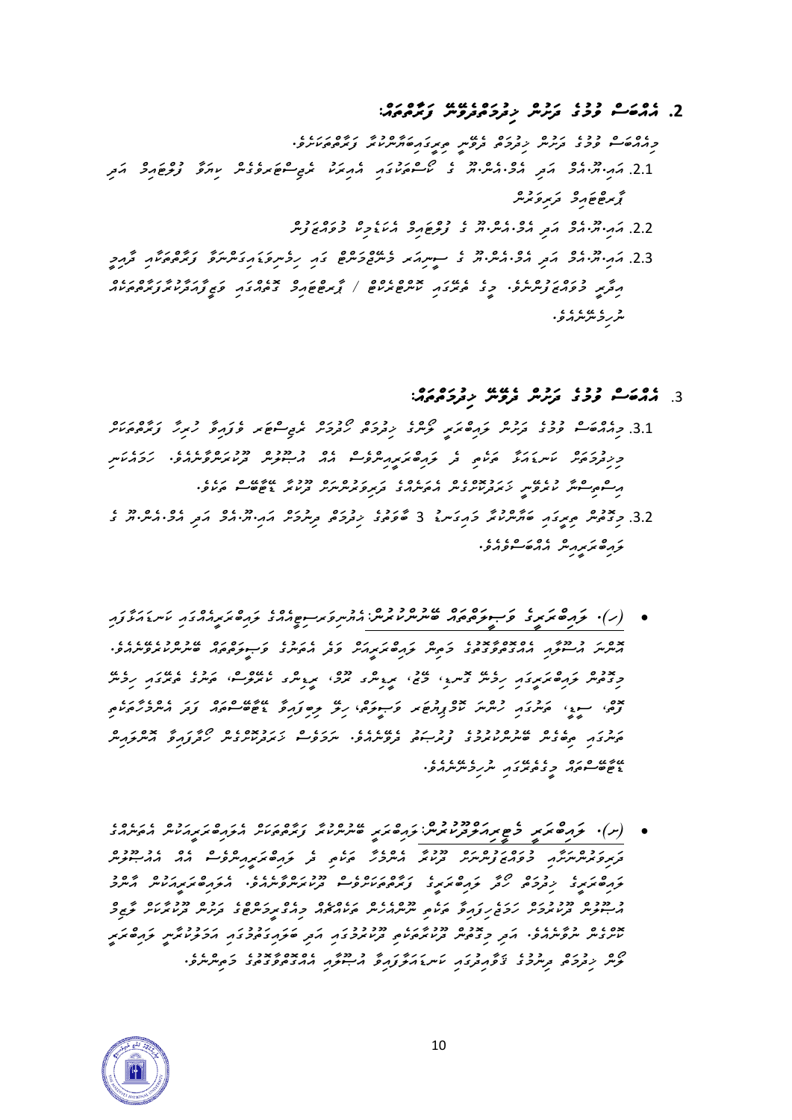### **.2** *އެއްބަސް ވުމުގެ ދަށުން ޚިދުމަތްދެވޭނޭ ފަރާތްތައ:ް*

*މިއެއްބަސް ވުމުގެ ދަށުން ޚިދުމަތް ދެވޭނީ ތިރީގައިބަޔާންކުރާ ފަރާތްތަކަށެވ.ެ*  .2.1 *އައ.ިޔ.ޫއެމް އަދި އެމ.ްއެނ.ްޔޫ ގެ ކޯސްތަކުގައި އެއިރަކު ރެޖިސްޓަރވެގެން ކިޔަވާ ފުލްޓައިމް އަދި ޕާރޓްޓައިމް ދަރިވަރުން*  .2.2 *އައ.ިޔ.ޫއެމް އަދި އެމ.ްއެނ.ްޔޫ ގެ ފުލްޓައިމް އެކަޑެމިކް މުވައްޒަފުން*

.2.3 كمبر و عدة عدة عدد عدد محمد عدد عدد عدد المحمد المحمد عدد المحمد عدد عدد المحمد عدد المحمد عدد المحمد عدد<br>2.3 كمبر المحمد المحمد المحمد المحمد المحمد المحمد المحمد المحمد المحمد المحمد المحمد المحمد المحمد المحمد الم *އިދާރީ މުވައްޒަފުންނެވ.ެ މީގެ ތެރޭގައި ކޮންޓްރެކްޓް / ޕާރޓްޓައިމް ގޮތެއްގައި ވަޒީފާއަދާކުރާފަރާތްތަކެއް ނުހިމެނޭނެއެވ.ެ* 

## .3 *އެއްބަސް ވުމުގެ ދަށުން ދެވޭނޭ ޚިދުމަތްތައ:ް*

- .3.1 *މިއެއްބަސް ވުމުގެ ދަށުން ލައިބްރަރީ ލޯންގެ ޚިދުމަތް ހޯދުމަށް ރެޖިސްޓަރ ވެފައިވާ ހުރިހާ ފަރާތްތަކަށް މިޚިދުމަތަށް ކަނޑައަޅާ ތަކެތި ދެ ލައިބްރަރީއިންވެސް އެއް އުޞޫލުން ދޫކުރަންވާނެއެވ.ެ ހަމައެކަނި އިސްތިސްނާ ކުރެވޭނީ ޚަރަދުކޮށްގެން އެތަނެއްގެ ދަރިވަރުންނަށް ދޫކުރާ ޑޭޓާބޭސް ތަކެވ.ެ*
- .3.2 محصوص م*حروح حزمی حرکت در حرکت در دوره در دوره در دو موسیق دو به دو است دو د ލައިބްރަރީއިން އެއްބަސްވެއެވ.ެ*
- *)ހ(. ލައިބްރަރީގެ ވަޞީލަތްތައް ބޭނުންކުރުނ:ްއެޔުނިވަރސިޓީއެއްގެ ލައިބްރަރީއެއްގައި ކަނޑައަޅާފައި އޮންނަ އުސޫލާއި އެއްގޮތްވާގޮތުގެ މަތިން ލައިބްރަރީއަށް ވަދެ އެތަނުގެ ވަޞީލަތްތައް ބޭނުންކުރެވޭނެއެވ.ެ މިގޮތުން ލައިބް ރަ ރީގައި ހިމެނޭ ގޮނޑ،ި މޭޒ،ު ރީޑިންގ ރޫމ،ް ރީޑިންގ ކެރޭލްސ،ް ތަނުގެ ތެރޭގައި ހިމެނޭ ފޮތ،ް ސީޑ،ީ ތަނުގައި ހުންނަ ކޮމްޕިޔުޓަރ ވަޞީލަތ*،*ް ހިލޭ ލިބިފައިވާ ޑޭޓާބޭ ސްތައް ފަދަ އެންމެހާތަކެތި ތަނުގައި ތިބެގެން ބޭނުންކުރުމުގެ ފުރުޞަތު ދެވޭނެއެވ.ެ ނަމަވެސް ޚަރަދުކޮށްގެން ހޯދާފައިވާ އޮންލައިން ޑޭޓާބޭސްތައް މީގެތެރޭގައި ނުހިމެނޭނެއެވ.ެ*
- *)ށ(. ލައިބްރަރީ މެޓީރިއަލްދޫކުރުނ:ްލައިބްރަރީ ބޭނުންކުރާ ފަރާތްތަކަށް އެލައިބްރަރީއަކުން އެތަނެއްގެ ދަރިވަރުންނަށާއި މުވައްޒަފުންނަށް ދޫކުރާ އެންމެހާ ތަކެތި ދެ ލައިބްރަރީއިންވެސް އެއް އެއުޞޫލުން ލައިބްރަރީގެ ޚިދުމަތް ހޯދާ ލައިބްރަރީގެ ފަރާތްތަކަށްވެސް ދޫކުރަންވާނެއެވ.ެ އެލައިބްރަރީއަކުން އާންމު އުޞޫލުން ދޫކުރުމަށް ހަމަޖެހިފައިވާ ތަކެތި ނޫންއެހެން ތަކެއްޗެއް މިއެގްރީމަންޓްގެ ދަށުން ދޫކުރާކަށް ލާޒިމް ކޮށްގެން ނުވާނެއެވ.ެ އަދި މިގޮތުން ދޫކުރާތަކެތި ދޫކުރުމުގައި އަދި ބަލައިގަތުމުގައި އަމަލުކުރާނީ ލައިބްރަރީ*  ש כנס כנס כנגל כנ*י יכל יכל יס אס אינגל כנסת על יכל כל היית ע*ל המונע.<br><del>ק</del>ייק *יבקרים ב<sub>ע</sub>יקר ב פריבקבר עית באופן מרייק ממשפק בפיקיק ב*סקיקיקיק

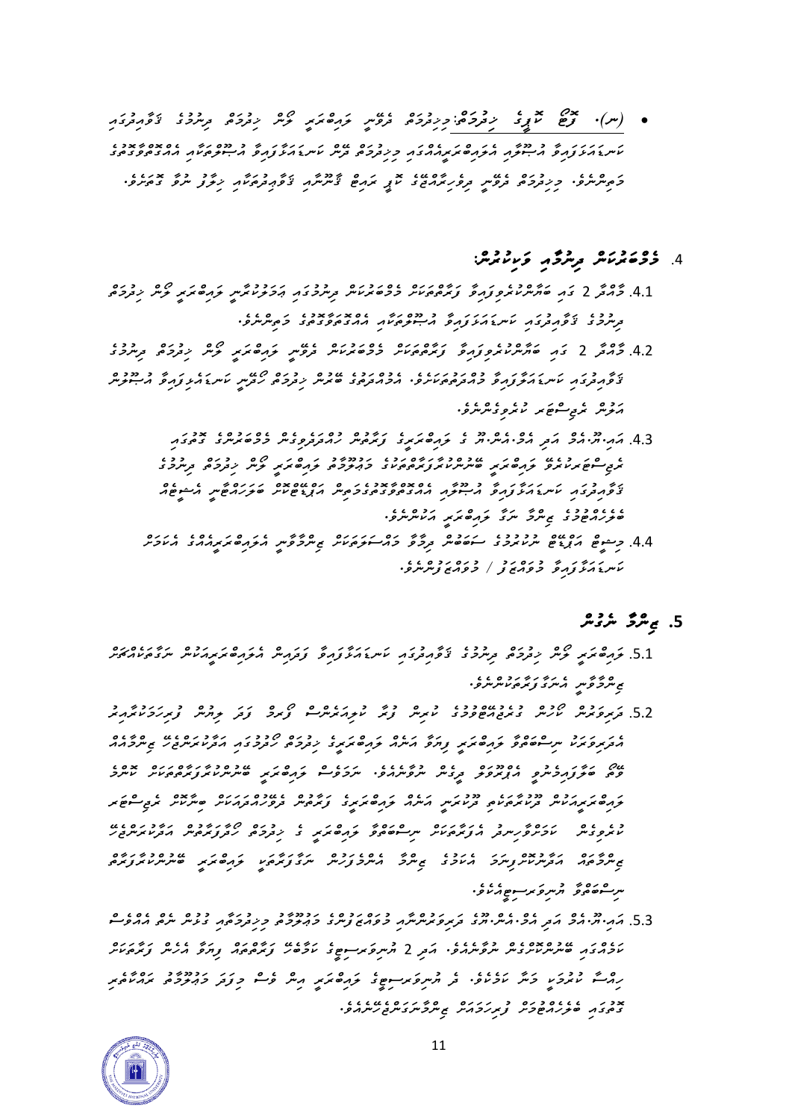• (س)٠ <del>۶۶٪ × ) حدث علم المسلم المسلم المسلم المسلم المسلم المسلم المسلم المسلم المسلم المسلم المسلم المسلم المس</del><br>• المسلم المسلم المسلم المسلم المسلم المسلم المسلم المسلم المسلم المسلم المسلم المسلم المسلم المسلم المسلم *ކަނޑައަޅަފައިވާ އުޞޫލާއި އެލައިބްރަރީއެއްގައި މިޚިދުމަތް ދޭން ކަނޑައަޅާފައިވާ އުޞޫލްތަކާއި އެއްގޮތްވާގޮތުގެ މަތިންނެވ.ެ މިޚިދުމަތް ދެވޭނީ ދިވެހިރާއްޖޭގެ ކޮޕީ ރައިޓް ޤާނޫނާއި ޤަވާޢިދުތަކާއި ޚިލާފު ނުވާ ގޮތަށެވ.ެ* 

## .4 *މެމް ބަރުކަން ދިނުމާއި ވަކިކުރުނ:ް*

- .4.1 \$ حُمحَ 2 يَرِم 1950 مِ 1960 مِنْ 1960 مِنْ 1960 مِنْ 1960 مِنْ 1960 مِنْ 1960 مِنْ 1960 مِنْ 1960 مِنْ 1<br>4.1 \$ حُمحَ 2 يَرْمُ 1960 مِنْ 1960 مِنْ 1960 مِنْ 1960 مِنْ 1960 مِنْ 1960 مِنْ 1960 مِنْ 1960 مِنْ 1960 مِنْ *ދިނުމުގެ ޤަވާއިދުގައި ކަނޑައަޅަފައިވާ އުޞޫލްތަކާ އި އެއްގޮތަވާގޮތުގެ މަތިންނެވ.ެ*
- 4.2 مُحمَّر 2 مَدِ حَمَ*دٍ دو دور و دورو عود دو عد دو دو دو دو دورو دو دورو دو دو دو دو دو دو دو دو دو دو دو دو ޤަވާއިދުގައި ކަނޑައަލާފައިވާ މުއްދަތުތަކަށެވ.ެ އެމުއްދަތުގެ ބޭރުން ޚިދުމަތް ހޯދޭނީ ކަނޑައެޅިފައިވާ އުޞޫލުން އަލުން ރެޖިސްޓަރ ކުރެވިގެންނެވ.ެ* 
	- .4.3 *އައ.ިޔ.ޫއެމް އަ ދި އެމ.ްއެނ.ްޔޫ ގެ ލައިބްރަރީގެ ފަރާތުން ހުއްދަދެވިގެން މެމްބަރުންގެ ގޮތުގައި ރެޖިސްޓަރކުރެވޭ ލައިބްރަރީ ބޭނުންކުރާފަރާތްތަކުގެ މަޢުލޫމާތު ލައިބްރަރީ ލޯން ޚިދުމަތް ދިނުމުގެ ޤަވާއިދުގައި ކަނޑައަޅާފައިވާ އުޞޫލާއި އެއްގޮތްވާގޮތުގެމަތިން އަޕްޑޭޓްކޮށް ބަލަހައްޓާނީ އެޝީޓެއް ބެލެހެއްޓުމުގެ ޒިންމާ ނަގާ ލައިބްރަރީ އަކުންނެވ.ެ*
	- 4.4 *جِمْدٍڠ ﻣ*ﻮﻳﻨﻮ ﺩﺩﺩﺩﺀ ﺭﺩﺩﻩ ﺭﯾﺮﮐﻮ ﺩﻩ ﺭﺭﯾﺮﺕ ﻣﻮﺭﮐﻮﺱ ﻣﺮﮐﺮﻣﻤﺘﺮﯾﺮﻣﺪﺩ ﻣﺘﺎﻭﺱ ﻣﻠﺎﺭﻱ *ކަނޑައަޅާފައިވާ މުވައްޒަފު / މުވައްޒަފުންނެވ.ެ*

# **.5** *ޒިންމާ ނެގުން*

- .5.1 *<del>ﺧ</del>ﺮﻣﯘﻣﺘﺮ ﻣﯘﻣﺮ ﺩﺩﻩ ﻣﺮﯨﺮﺩﻯ ﻳﯘﻣﺪﯗﻡ ﻛﯩﺮﯗ ﻛﯘﻣﯘ ﺯﯗﻣﺪ ﻣﯘﻣﯘﻣﺮﻣﺪﯨﻤﺮ ﻣﯘﻣﺪﻩﻣﯩﺮ ޒިންމާވާނީ އެނަގާފަރާތަކުންނެވ.ެ*
- .5.2 *قریر قرمت می ده دورو دورو دورو میرورو می دورو دورو در دوروس*ر در دور<br>5.2 قریر قریبر مدرس دیموج موجود می شرکت کوچرکسی کویرو کوتر مواسس وی*ر دوم*نوریر *އެދަރިވަރަކު ނިސްބަތްވާ ލައިބްރަރީ ފިޔަވާ އަނެއް ލައިބްރަރީގެ ޚިދުމަތް ހޯދުމުގައި އަދާކުރަންޖެހޭ ޒިންމާއެއް ވޭތޯ ބަލާފައިމެނުވީ އެޕްރޫވަލް ދީގެން ނުވާނެއެވ.ެ ނަމަވެސް ލައިބްރަރީ ބޭނުންކުރާފަރާތްތަކަށް ކޮންމެ ލައިބްރަރީއަކުން ދޫކުރާތަކެތި ދޫކުރަނީ އަނެއް ލައިބްރަރީގެ ފަރާތުން ދެވޭހުއްދައަކަށް ބިނާކޮށް ރެޖިސްޓަރ ކުރެވިގެން ކަމަށްވާހިނދު އެފަރާތަކަށް ނިސްބަތްވާ ލައިބްރަރީ ގެ ޚިދުމަތް ހޯދާފަރާތުން އަދާކުރަންޖެހޭ ޒިންމާތައް އަދާނުކޮށްފިނަމަ އެކަމުގެ ޒިންމާ އެންމެފަހުން ނަގާފަރާތަކީ ލައިބްރަރީ ބޭނުންކުރާފަރާތް ނިސްބަތްވާ ޔުނިވަރސިޓީއެކެވ.ެ*
- .5.3 *އައ.ިޔ.ޫއެމް އަދި އެމ.ްއެނ.ްޔޫގެ ދަރިވަރުންނާއި މުވައްޒަފުންގެ މަޢުލޫމާތު މިޚިދުމަތާއި ގުޅުން ނެތް އެއްވެސް ކަމެއްގައި ބޭނުންކޮށްގެން ނުވާނެއެވ.ެ އަދި* 2 *ޔުނިވަރސިޓީގެ ކަމާބެހޭ ފަރާތްތައް ފިޔަވާ އެހެން ފަރާތަކަށް ހިއްސާ ކުރުމަކީ މަނާ ކަމެކެވ.ެ ދެ ޔުނިވަރސިޓީގެ ލައިބްރަރީ އިން ވެސް މިފަދަ މަޢުލޫމާތު ރައްކާތެރި ގޮތުގައި ބެލެހެއްޓުމަށް ފުރިހަމައަށް ޒިންމާނަގަންޖެހޭނެއެވ.ެ*

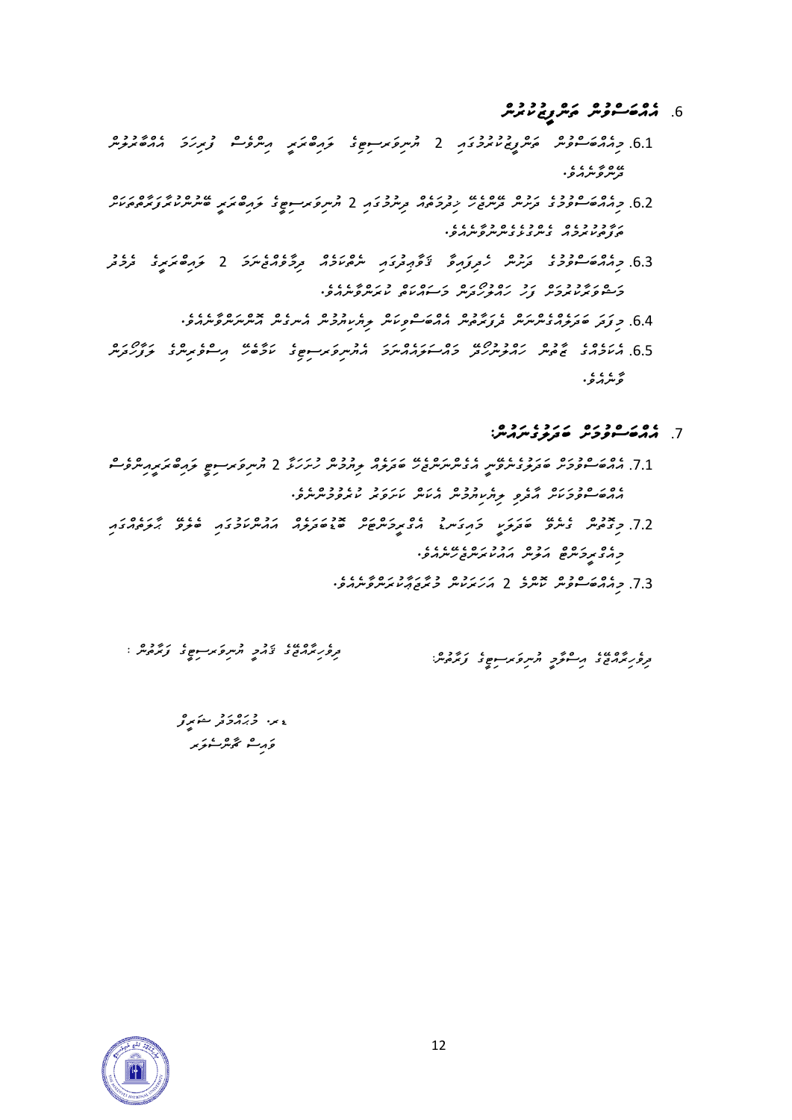- .6 **مەمەرە مەمەرى** بودە چەر<br>6. **مەمەسى** *ۋىس ئەس بولغ*
- .6.1 10.00 10 10.00 1 مركز من 10.00 1 10.00 1 10.00 10.00 10.00 10.00 10.00 10.00 10.00 كروسر<br>6.1 مركز من المسابق المسابق المستركز المركز المستركز المستركز المستركز المستركز المستركز المستركز المستركز المس<br>المستركز المستر <sup>ی ہ</sup> می د ،<br>ت<sub>ح</sub>مد *و* مرد و .
- .6.2 *މިއެއްބަސްވުމުގެ ދަށުން ދޭންޖެހޭ ޚިދުމަތެއް ދިނުމުގައި* 2 *ޔުނިވަރސިޓީގެ ލައިބްރަރީ ބޭނުންކުރާފަރާތްތަކަށް ތަފާތުކުރުމެއް ގެންގުޅެގެންނުވާނެއެވ.ެ*
- .6.3 *މިއެއްބަސްވުމުގެ ދަށުން ހެދިފައިވާ ޤަވާޢިދުގައި ނެތްކަމެއް ދިމާވެއްޖެނަމަ* 2 *ލައިބްރަ ރީގެ ދެމެދު މަޝްވަރާކުރުމަށް ފަހު ހައްލުހޯދަން މަސައްކަތް ކުރަންވާނެއެވ.ެ* 
	- .<br>6.4. כ توتر ص*تر توسر من د تر توسر من حسوم من حسر من دسر حسر من من من من من العرب من المسر من ال*
- .6.5 *އެކަމެއްގެ ޒާތުން ހައްލުނުހޯދޭ މައްސަލައެއްނަމަ އެޔުނިވަރސިޓިގެ ކަމާބެހޭ އިސްވެރިންގެ ލަފާހޯދަން ވާނެއެވ.ެ*

### .7 *އެއް ބަސްވުމަށް ބަދަލުގެނައުނ:ް*

- جمع مدد و در درد عرد درود درد و درد درد و درگرد که میبرویرسوم نوره نرم شور و میلی میلی میلی میبرد.<br>7.1 ماره سوویر معروف مروس میسرم نیسرو میکند. *އެއްބަސްވުމަކަށް އާދެވި ލިޔެކިޔުމުން އެކަން ކަށަވަރު ކުރެވުމުންނެވ.ެ*
- .7.2 *މިގޮތުން ގެނެވޭ ބަދަލަކީ މައިގަނޑު އެގްރީމަންޓަށް ބޮޑުބަދަލެއް އައުންކަމުގައި ބެލެވޭ ޙާ ލަތެއްގައި މިއެގްރީމަންޓް އަލުން އައުކުރަންޖެހޭނެއެވ.ެ* 
	- .7.3 *މިއެއްބަސްވުން ކޮންމެ* 2 *އަހަރަކުން މުރާޖަޢާކުރަންވާނެއެވ.ެ*

*ދިވެހިރާއްޖޭގެ ޤައުމީ ޔުނިވަރސިޓީގެ ފަރާތުން : ދިވެހިރާއްޖޭގެ އިސްލާމީ ޔުނިވަރސިޓީގެ ފަރާތުނ:ް* 

*ޑރ. މުޙައްމަދު ޝަރީފް*  ۇرىش ئۇيرىكىزىر

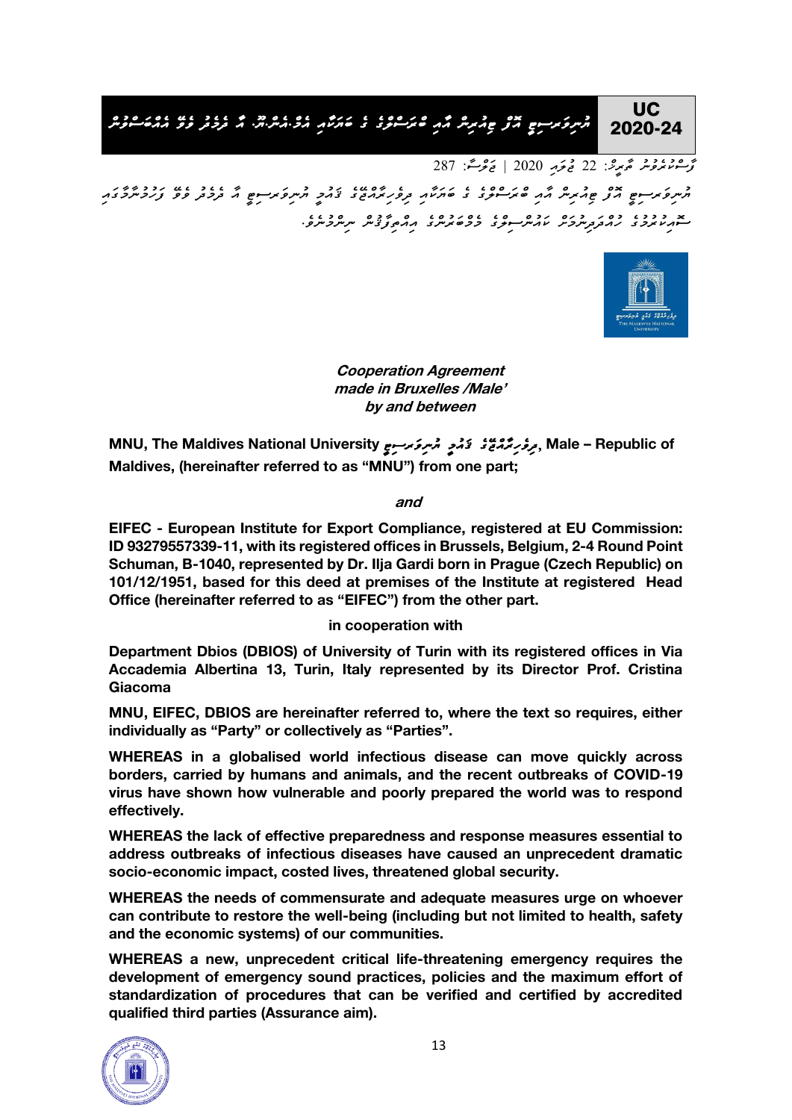#### UC *ޔުނިވަރސިޓީ އޮފް ޓިއުރިން އާއި ބްރަސްލްގެ ގެ ބަޔަކާއި އެމް . އެން . ޔޫ . އާ ދެމެދު ވެވ އެއްބަސްވުން* 2020-24

*ފާސްކުރެވުނު ތާރީޚ:ް 22 ޖުލައި 2020 | ޖަލްސ:ާ 287*  مسروکر سوم مرد عدد ۶ من مرد ۲۰۰۵ مرد در ۱۳۶۵ مرد در در مرد در ۱۶۶۵ مرد ۱۳۶۵ مرد ۱۳۶۵ مرد ۱۳۶۵ مرد ۱۳۶۵ مرد ۱۳۶<br>مسروکر سوم مرکز عدید سر از ۲۰۰۵ مرد ۱۳۶۰ مرد ۱۳۶۸ مرد ۱۳۶۶ مرد از ۱۳۶۳ مرد از ۱۳۶۶ مرد ۱۳۶۳ مرد ۱۳۶۵ مرد ۱۳۶۵ *ސޮއިކުރުމުގެ ހުއްދަދިނުމަށް ކައުންސިލްގެ މެމްބަރުންގެ އިއްތިފާޤުން ނިންމުނެވ.ެ* 



**Cooperation Agreement made in Bruxelles /Male' by and between**

مِرڠرِ يَمْهُمُ تَحْمَدٍ مُسِرعَة سِعِ MNU, The Maldives National University ,مِعْدَ تَحْمَدٍ مُسْرِعَة سَعَة ب **Maldives, (hereinafter referred to as "MNU") from one part;**

**and**

**EIFEC - European Institute for Export Compliance, registered at EU Commission: ID 93279557339-11, with its registered offices in Brussels, Belgium, 2-4 Round Point Schuman, B-1040, represented by Dr. Ilja Gardi born in Prague (Czech Republic) on 101/12/1951, based for this deed at premises of the Institute at registered Head Office (hereinafter referred to as "EIFEC") from the other part.**

#### **in cooperation with**

**Department Dbios (DBIOS) of University of Turin with its registered offices in Via Accademia Albertina 13, Turin, Italy represented by its Director Prof. Cristina Giacoma**

**MNU, EIFEC, DBIOS are hereinafter referred to, where the text so requires, either individually as "Party" or collectively as "Parties".** 

**WHEREAS in a globalised world infectious disease can move quickly across borders, carried by humans and animals, and the recent outbreaks of COVID-19 virus have shown how vulnerable and poorly prepared the world was to respond effectively.**

**WHEREAS the lack of effective preparedness and response measures essential to address outbreaks of infectious diseases have caused an unprecedent dramatic socio-economic impact, costed lives, threatened global security.** 

**WHEREAS the needs of commensurate and adequate measures urge on whoever can contribute to restore the well-being (including but not limited to health, safety and the economic systems) of our communities.** 

**WHEREAS a new, unprecedent critical life-threatening emergency requires the development of emergency sound practices, policies and the maximum effort of standardization of procedures that can be verified and certified by accredited qualified third parties (Assurance aim).**

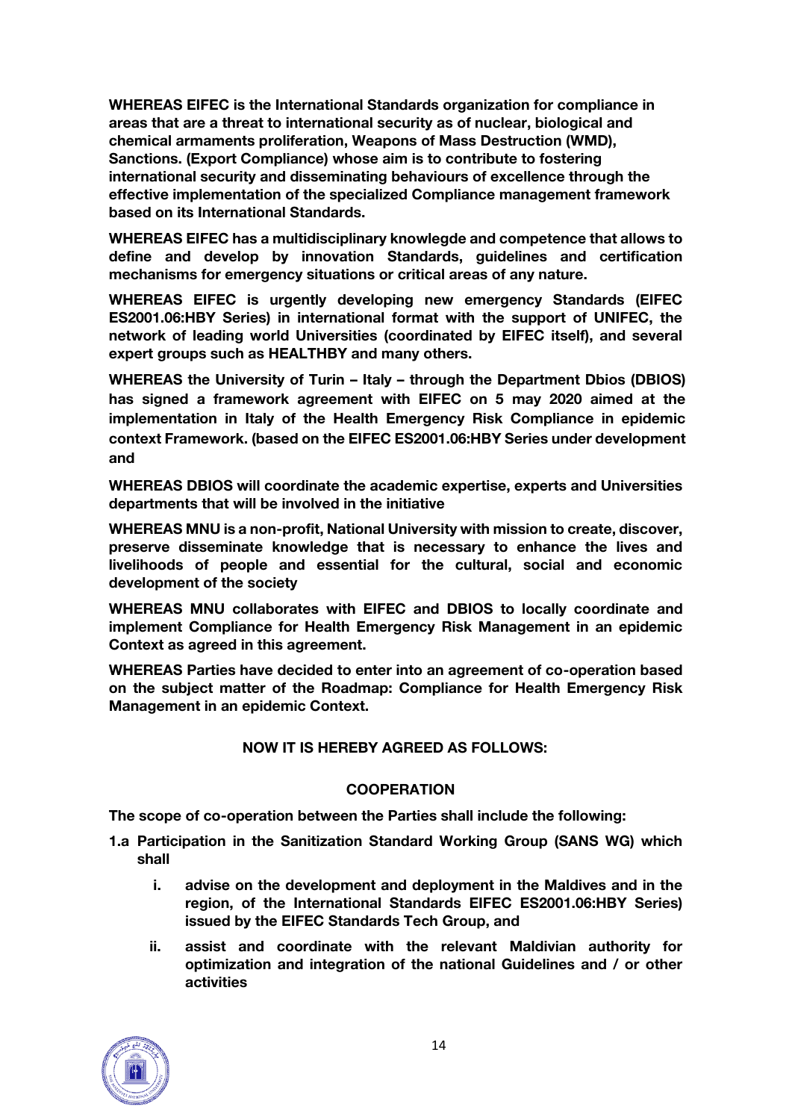**WHEREAS EIFEC is the International Standards organization for compliance in areas that are a threat to international security as of nuclear, biological and chemical armaments proliferation, Weapons of Mass Destruction (WMD), Sanctions. (Export Compliance) whose aim is to contribute to fostering international security and disseminating behaviours of excellence through the effective implementation of the specialized Compliance management framework based on its International Standards.**

**WHEREAS EIFEC has a multidisciplinary knowlegde and competence that allows to define and develop by innovation Standards, guidelines and certification mechanisms for emergency situations or critical areas of any nature.**

**WHEREAS EIFEC is urgently developing new emergency Standards (EIFEC ES2001.06:HBY Series) in international format with the support of UNIFEC, the network of leading world Universities (coordinated by EIFEC itself), and several expert groups such as HEALTHBY and many others.**

**WHEREAS the University of Turin – Italy – through the Department Dbios (DBIOS) has signed a framework agreement with EIFEC on 5 may 2020 aimed at the implementation in Italy of the Health Emergency Risk Compliance in epidemic context Framework. (based on the EIFEC ES2001.06:HBY Series under development and**

**WHEREAS DBIOS will coordinate the academic expertise, experts and Universities departments that will be involved in the initiative**

**WHEREAS MNU is a non-profit, National University with mission to create, discover, preserve disseminate knowledge that is necessary to enhance the lives and livelihoods of people and essential for the cultural, social and economic development of the society**

**WHEREAS MNU collaborates with EIFEC and DBIOS to locally coordinate and implement Compliance for Health Emergency Risk Management in an epidemic Context as agreed in this agreement.**

**WHEREAS Parties have decided to enter into an agreement of co-operation based on the subject matter of the Roadmap: Compliance for Health Emergency Risk Management in an epidemic Context.**

#### **NOW IT IS HEREBY AGREED AS FOLLOWS:**

#### **COOPERATION**

**The scope of co-operation between the Parties shall include the following:**

- **1.a Participation in the Sanitization Standard Working Group (SANS WG) which shall** 
	- **i. advise on the development and deployment in the Maldives and in the region, of the International Standards EIFEC ES2001.06:HBY Series) issued by the EIFEC Standards Tech Group, and**
	- **ii. assist and coordinate with the relevant Maldivian authority for optimization and integration of the national Guidelines and / or other activities**

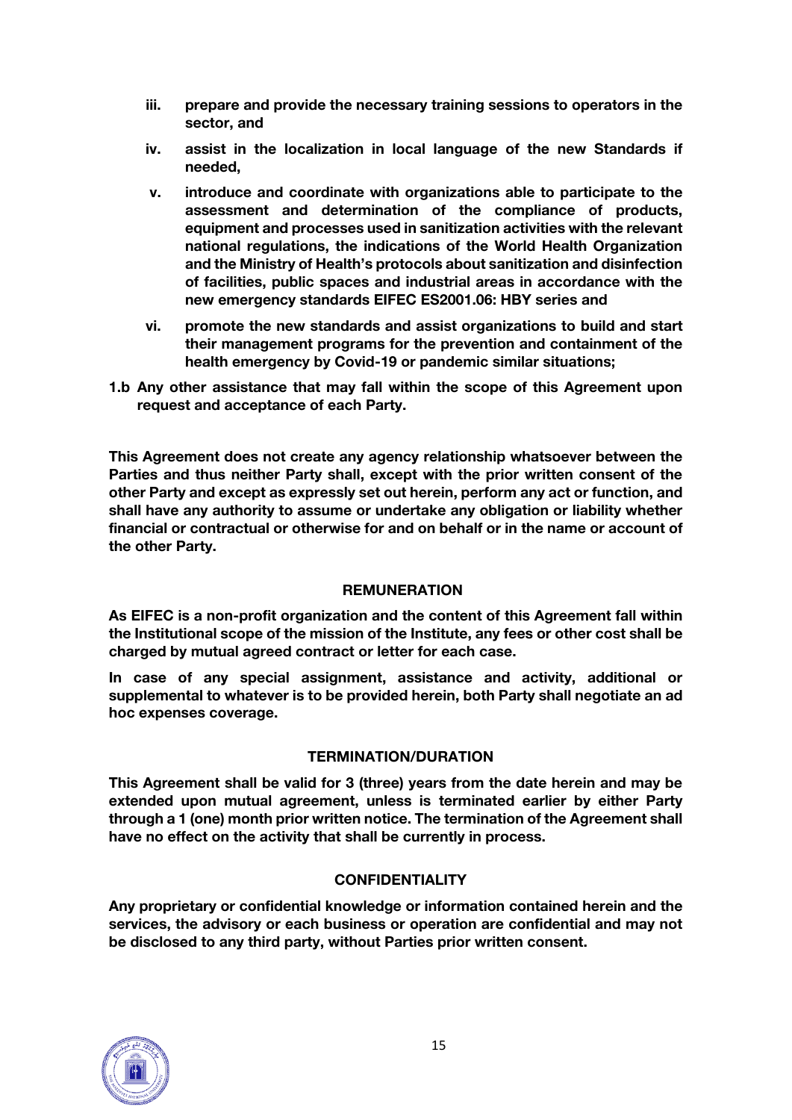- **iii. prepare and provide the necessary training sessions to operators in the sector, and**
- **iv. assist in the localization in local language of the new Standards if needed,**
- **v. introduce and coordinate with organizations able to participate to the assessment and determination of the compliance of products, equipment and processes used in sanitization activities with the relevant national regulations, the indications of the World Health Organization and the Ministry of Health's protocols about sanitization and disinfection of facilities, public spaces and industrial areas in accordance with the new emergency standards EIFEC ES2001.06: HBY series and**
- **vi. promote the new standards and assist organizations to build and start their management programs for the prevention and containment of the health emergency by Covid-19 or pandemic similar situations;**
- **1.b Any other assistance that may fall within the scope of this Agreement upon request and acceptance of each Party.**

**This Agreement does not create any agency relationship whatsoever between the Parties and thus neither Party shall, except with the prior written consent of the other Party and except as expressly set out herein, perform any act or function, and shall have any authority to assume or undertake any obligation or liability whether financial or contractual or otherwise for and on behalf or in the name or account of the other Party.**

#### **REMUNERATION**

**As EIFEC is a non-profit organization and the content of this Agreement fall within the Institutional scope of the mission of the Institute, any fees or other cost shall be charged by mutual agreed contract or letter for each case.** 

**In case of any special assignment, assistance and activity, additional or supplemental to whatever is to be provided herein, both Party shall negotiate an ad hoc expenses coverage.**

#### **TERMINATION/DURATION**

**This Agreement shall be valid for 3 (three) years from the date herein and may be extended upon mutual agreement, unless is terminated earlier by either Party through a 1 (one) month prior written notice. The termination of the Agreement shall have no effect on the activity that shall be currently in process.**

#### **CONFIDENTIALITY**

**Any proprietary or confidential knowledge or information contained herein and the services, the advisory or each business or operation are confidential and may not be disclosed to any third party, without Parties prior written consent.**

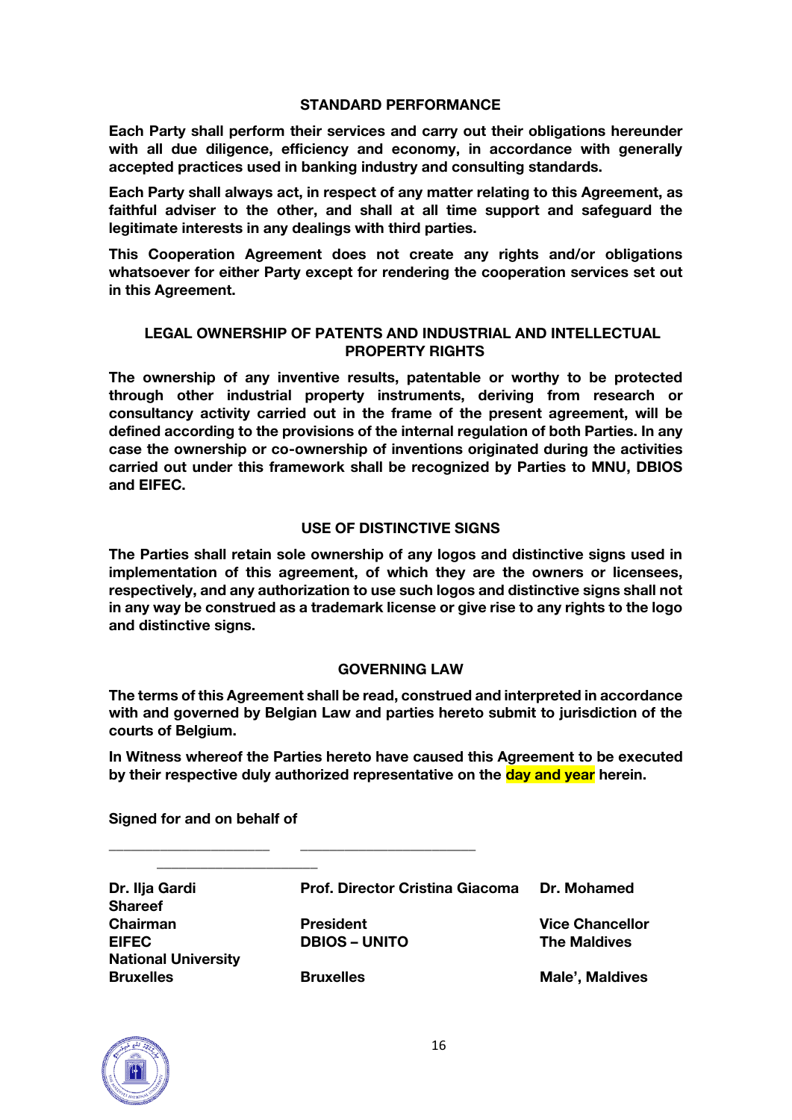#### **STANDARD PERFORMANCE**

**Each Party shall perform their services and carry out their obligations hereunder with all due diligence, efficiency and economy, in accordance with generally accepted practices used in banking industry and consulting standards.**

**Each Party shall always act, in respect of any matter relating to this Agreement, as faithful adviser to the other, and shall at all time support and safeguard the legitimate interests in any dealings with third parties.**

**This Cooperation Agreement does not create any rights and/or obligations whatsoever for either Party except for rendering the cooperation services set out in this Agreement.**

#### **LEGAL OWNERSHIP OF PATENTS AND INDUSTRIAL AND INTELLECTUAL PROPERTY RIGHTS**

**The ownership of any inventive results, patentable or worthy to be protected through other industrial property instruments, deriving from research or consultancy activity carried out in the frame of the present agreement, will be defined according to the provisions of the internal regulation of both Parties. In any case the ownership or co-ownership of inventions originated during the activities carried out under this framework shall be recognized by Parties to MNU, DBIOS and EIFEC.**

#### **USE OF DISTINCTIVE SIGNS**

**The Parties shall retain sole ownership of any logos and distinctive signs used in implementation of this agreement, of which they are the owners or licensees, respectively, and any authorization to use such logos and distinctive signs shall not in any way be construed as a trademark license or give rise to any rights to the logo and distinctive signs.**

#### **GOVERNING LAW**

**The terms of this Agreement shall be read, construed and interpreted in accordance with and governed by Belgian Law and parties hereto submit to jurisdiction of the courts of Belgium.**

**In Witness whereof the Parties hereto have caused this Agreement to be executed by their respective duly authorized representative on the day and year herein.**

**Signed for and on behalf of**

**\_\_\_\_\_\_\_\_\_\_\_\_\_\_\_\_\_\_\_\_\_\_**

**Shareef National University Bruxelles Bruxelles Male', Maldives**

**Dr. Ilja Gardi Prof. Director Cristina Giacoma Dr. Mohamed Chairman President Vice Chancellor EIFEC DBIOS – UNITO The Maldives** 

**\_\_\_\_\_\_\_\_\_\_\_\_\_\_\_\_\_\_\_\_\_\_ \_\_\_\_\_\_\_\_\_\_\_\_\_\_\_\_\_\_\_\_\_\_\_\_**

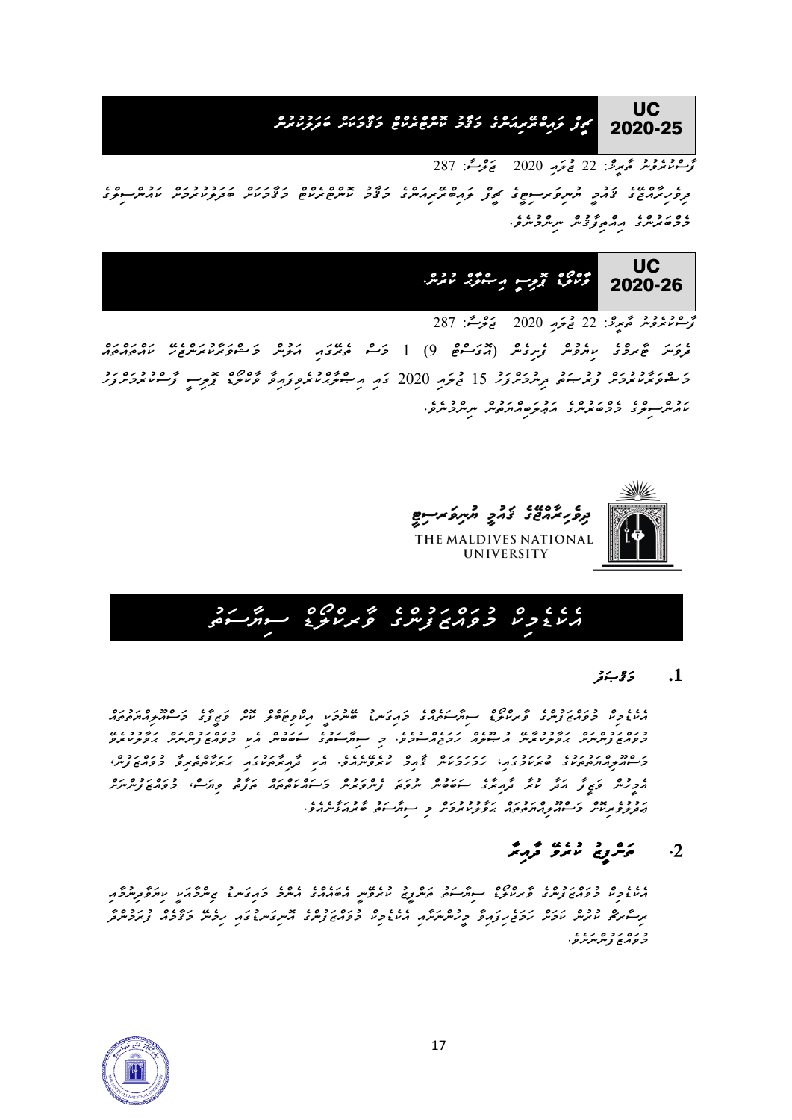

*ފާސްކުރެވުނު ތާރީޚ:ް 22 ޖުލައި 2020 | ޖަލްސ:ާ 287 ދިވެހިރާއްޖ ގެ ޤައުމީ ޔުނިވަރސިޓީގެ ޗީފް ލައިބްރ ރިއަންގެ މަޤާމު ކޮންޓްރެކްޓް މަޤާމަކަށް ބަދަލުކުރުމަށް ކައުންސިލްގެ މެމްބަރުންގެ އިއްތިފާޤުން ނިންމުނެވ.ެ*



*ފާސްކުރެވުނު ތާރީޚ:ް 22 ޖުލައި 2020 | ޖަލްސ:ާ 287* 

</u><br>مروس ځمرد بربروس زېږدس (مردسع 9) [ <del>د مر</del>دم مردم د مروس د عبوبر د ده د د مردم *މަޝްވަރާކުރުމަށް ފުރުޞަތު ދިނުމަށްފަހު 15 ޖުލައި 2020 ގައި އިޞްލާޙްކުރެވިފައިވާ ވާކްލޯޑް ޕޮލިސީ ފާސްކުރުމަށްފަހު ކައުންސިލްގެ މެމްބަރުންގެ އަޢުލަބިއްޔަތުން ނިންމުނެވ.ެ*





#### **.1** *މަޤްޞަދު*

*އެކެޑެމިކް މުވައްޒަފުންގެ ވާރކްލޯޑް ސިޔާސަތެއްގެ މައިގަނޑު ބ ނުމަކީ އިކްވިޓަބްލް ކޮށް ވަޒީފާގެ މަސްއޫލިއްޔަތުތައް މުވައްޒަފުންނަށް ޙަވާލުކުރާނ އުޞޫލެއް ހަމަޖެއްސުމެވ.ެ މި ސިޔާސަތުގެ ސަބަބުން އެކި މުވައްޒަފުންނަށް ޙަވާލުކުރެވ މަސްއޫލިއްޔަތުތަކުގެ ބުރަކަމުގައ*،*ި ހަމަހަމަކަން ޤާއިމް ކުރެވ ނެއެވ.ެ އެކި ދާއިރާތަކުގައި ޙަރަކާތްތެރިވާ މުވައްޒަފުނ،ް އެމީހުން ވަޒީފާ އަދާ ކުރާ ދާއިރާގެ ސަބަބުން ނުވަތަ ފެންވަރުން މަސައްކަތްތައް ތަފާތު ވިޔަސ،ް މުވައްޒަފުންނަށް ޢަދުލުވެރިކޮށް މަސްއޫލިއްޔަތުތައް ޙަވާލުކުރުމަށް މި ސިޔާސަތު ބާރުއަޅާނެއެވ.ެ* 

## *.2 ތަންފީޒު ކުރެވ ދާއިރާ*

*އެކެޑެމިކް މުވައްޒަފުންގެ ވާރކްލޯޑް ސިޔާސަތު ތަންފީޒު ކުރެވ ނީ އެބައެއްގެ އެންމެ މައިގަނޑު ޒިންމާއަކީ ކިޔަވާދިނުމާއި ރިސާރޗް ކުރުން ކަމަށް ހަމަޖެހިފައިވާ މީހުންނަށާއި އެކެޑެމިކް މުވައްޒަފުންގެ އޮނިގަނޑުގައި ހިމެނ މަޤާމެއް ފުރަމުންދާ މުވައްޒަފުންނަށެވ.ެ* 

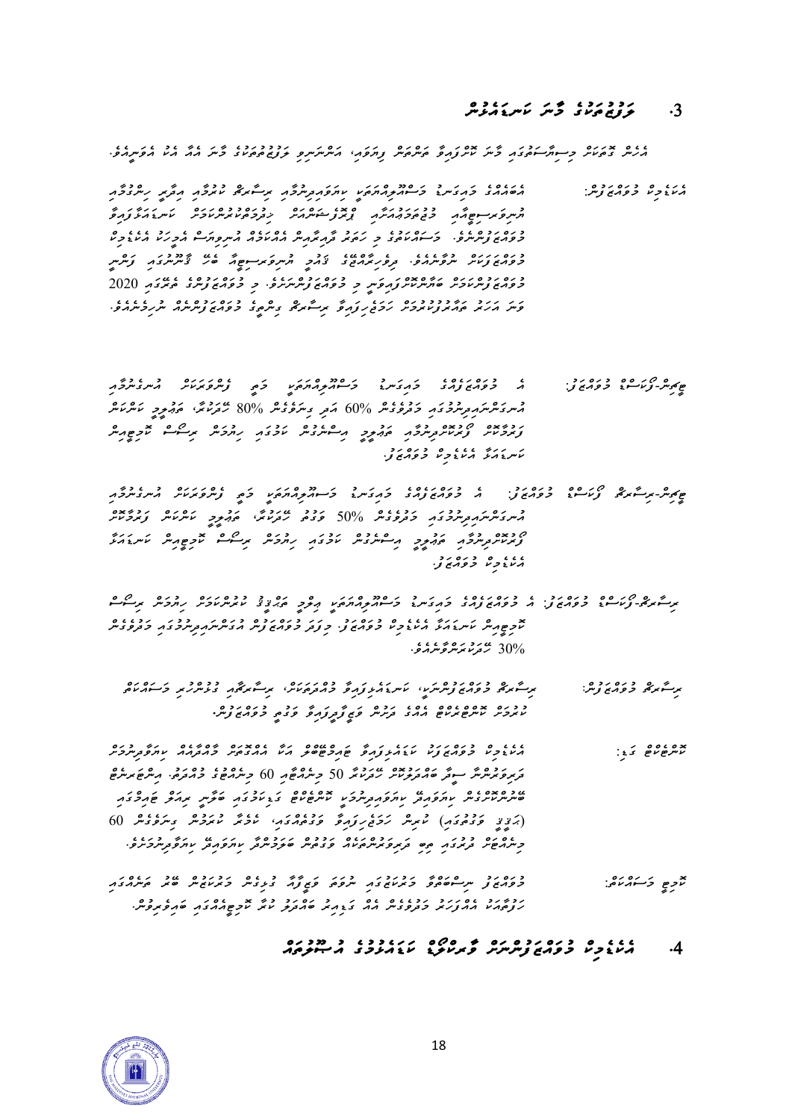### *.3 ލަފުޒުތަކުގެ މާނަ ކަނޑައެޅުން*

*އެހެން ގޮތަކަށް މިސިޔާސަތުގައި މާނަ ކޮށްފައިވާ ތަންތަން ފިޔަވައ،ި އަންނަނިވި ލަފުޒުތުތަކުގެ މާނަ އެއާ އެކު އެވަނީއެވ.ެ* 

- *އެކަޑެމިކް މުވައްޒަފުނ:ް އެބައެއްގެ މައިގަނޑު މަސްއޫލިއްޔަތަކީ ކިޔަވައިދިނުމާއި ރިސާރޗް ކުރުމާއި އިދާރީ ހިންގުމާއި ޔުނިވަރސިޓީއާއި މުޖުތަމަޢުއަށާއި ޕްރޮފެޝަންއަށް ޚިދުމަތްކުރުންކަމަށް ކަނޑައަޅާފައިވާ މުވައްޒަފުންނެވ.ެ މަސައްކަތުގެ މި ހަތަރު ދާއިރާއިން އެއްކަމެއް އުނިވިޔަސް އެމީހަކު އެކެޑެމިކް*  د ره رر ره دو دو د د د د د د موسوع مسلم عدد د موسر و موسر و موسر<br>حوری زندس سروس در در در در دو در د سروتر سوع که هر تخسرسوی و کرمز *މުވައްޒަފުންކަމަށް ބަޔާންކޮށްފައިވަނީ މި މުވައްޒަފުންނަށެވ.ެ މި މުވައްޒަފުންގެ ތެރ ގައި 2020 ވަނަ އަހަރު ތައާރުފުކުރުމަށް ހަމަޖެހިފައިވާ ރިސާރޗް ގިންތީގެ މުވައްޒަފުންނެއް ނުހިމެނެއެވ.ެ*
- *ޓީޗިނ-ްފޯކަސްޑް މުވައްޒަފ:ު އެ މުވައްޒަފެއްގެ މައިގަނޑު މަސްއޫލިއްޔަތަކީ މަތީ ފެންވަރަކަށް އުނގެނުމާއި އުނގަންނައިދިނުމު ގައި މަދުވެގެން % 60 އަދި ގިނަވެގެން % 80 ހ ދަކުރ،ާ ތަޢުލީމީ ކަންކަން ފަރުމާކޮށް ފޯރުކޮށްދިނުމާއި ތަޢުލީމީ އިސްނެގުން ކަމުގައި ހިޔުމަން ރިސޯސް ކޮމިޓީއިން ކަނޑައަޅާ އެކެޑެމިކް މުވައްޒަފ.ު*
- *ޓީޗިނ-ްރިސާރޗް ފޯކަސްޑް މުވައްޒަފ:ު އެ މުވައްޒަފެއްގެ މައިގަނޑު މަސއޫލިއްޔަތަކީ މަތީ ފެންވަރަކަށް އުނގެނުމާއި*  حسر مصر مصر حرم عدد 1995 می دورد عدد مصر مصرف حرم العراق العرب العدم العدم مصر العدم العدم العدم العدم العدم ا<br>مسر مسر مصر العرب العدم العدم العدم العدم العدم العدم العدم العدم العدم العدم العدم العدم العدم العدم العدم ا *ފޯރުކޮށްދިނުމާއި ތަޢުލީމީ އިސްނެގުން ކަމުގައި ހިޔުމަން ރިސޯސް ކޮމިޓީއިން ކަނޑައަޅާ އެކެޑެމިކް މުވައްޒަފ.ު*
- <del></u></del> *ކޮމިޓީއިން ކަނޑައަޅާ އެކެޑެމިކް މުވައްޒަފ.ު މިފަދަ މުވައްޒަފުން އުގަންނައިދިނުމުގައި މަދުވެގެން 30% ހ ދަކުރަންވާނެއެވ.ެ* 
	- *ރިސާރޗް މުވައްޒަފުނ:ް ރިސާރޗް މުވައްޒަފުންނަކ،ީ ކަނޑައެޅިފައިވާ މުއްދަތަކަށ،ް ރިސާރޗާއި ގުޅުންހުރި މަސައްކަތް ކުރުމަށް ކޮންޓްރެކްޓް އެއްގެ ދަށުން ވަޒީފާދީފައިވާ ވަގުތީ މުވައްޒަފުނ.ް*
- *ކޮންޓެކްޓް ގަޑ:ި އެކެޑެމިކް މުވައްޒަފަކު ކަޑައެޅިފައިވާ ޓައިމްޓ ބްލް އަކާ އެއްގޮތަށް މާއްދާއެއް ކިޔަވާދިނުމަށް*  مَرِ *ﻣ*ﻮﮐﺮﻣُﺮ ﺳﻮﮐَﺮ ﻣَﻭ ﻣﺪﺩﺩﻩ ﻣﻪﺭﺩﺭ 50 ﺩ ﻣﺮﻭﻫﻴﯘ ()) ﺩ ﻣﺮﻭﻫﻮ ﺩﻭﻭﺭﻭ. ﻭ ﻣﺮﻣﻴﻢ ﻣﺮﺍﻟﻢ ﻣﺮﺍﻟﻪ  $\sim$   $\sim$ שיעיע זוגו געיע זוגו געיע זוגו געיע זוגו געיע זוגוע זוגוע זוגוע זוגוע זוגוע זוגוע זוגוע זוגוע *)ޙަޤީޤީ ވަގުތުގައި( ކުރިން ހަމަޖެހިފައިވާ ވަގުތެއްގައ،ި ކެ މެރާ ކުރަމުން ގިނަވެގެން 60 މިނެއްޓަށް ދުރުގައި ތިބި ދަރިވަރުންތަކެއް ވަގުތުން ބަލަމުންދާ ކިޔަވައިދ ކިޔަވާދިނުމަށެވ.ެ*
- *ކޮމިޓީ މަސައްކަތ:ް މުވައްޒަފު ނިސްބަތްވާ މަރުކަޒުގައި ނުވަތަ ވަޒީފާއާ ގުޅިގެން މަރުކަޒުން ބ ރު ތަނެއްގައި ހަފުތާއަކު އެއްފަހަރު މަދުވެގެ ން އެއް ގަޑިއިރު ބައްދަލު ކުރާ ކޮމިޓީއެއްގައި ބައިވެރިވުނ.ް*

### *.4 އެކެޑެމިކް މުވައްޒަފުންނަށް ވާރކްލޯޑް ކަޑައެޅުމުގެ އުޞޫލުތައް*

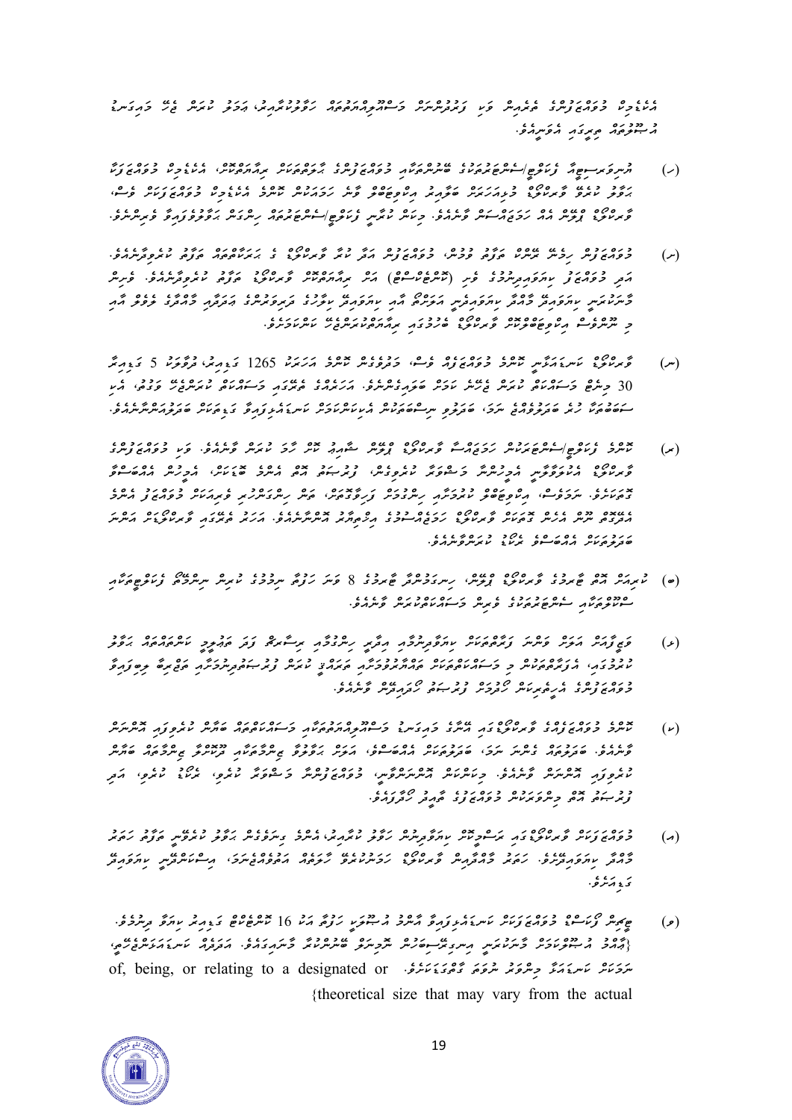*އެކެޑެމިކް މުވައްޒަފުންގެ ތެރެއިން ވަކި ފަރުދުންނަށް މަސްއޫލިއްޔަތުތައް ހަވާލުކުރާއިރ*،*ު ޢަމަލު ކުރަން ޖެހ މައިގަނޑު*  د دودره<br>مسو*خوهم محتركه مؤس*هو.

- ) مسروکر ـ حود عرض عرض الله عند الله عند الله عند الله عند الله عن الله عن الله عند الله عند الله عند الله عن<br>(ر) مسروکر ـ حود عند الله عند الله عند الله عند الله عن الله عند الله عند الله عند الله عند الله عند الله عند *ޙަވާލު ކުރެވ ވާރކްލޯޑް މުޅިއަހަރަށް ބަލާއިރު އިކްވިޓަބްލް ވާނެ ހަމައަކުން ކޮންމެ އެކެޑެމިކް މުވައްޒަފަކަށް ވެސ،ް ވާރކްލޯޑް ޕްލ ން އެއް ހަމަޖައްސަން ވާނެއެވ.ެ މިކަން ކުރާނީ ފެކަލްޓ/ީސެންޓަރުތައް ހިންގަން ޙަވާލުވެފައިވާ ވެރިންނެވ.ެ*
- *)ށ( މުވައްޒަފުން ހިމެނ ރ ންކް ތަފާތު ވުމުނ،ް މުވައްޒަފުން އަދާ ކުރާ ވާރކްލޯޑް ގެ ޙަރަކާތްތައް ތަފާތު ކުރެވިދާނެއެވ.ެ އަދި މުވައްޒަފު ކިޔަވައިދިނުމުގެ ވެށި )ކޮންޓެކްސްޓް( އަށް ރިއާޔަތްކޮށް ވާރކްލޯޑު ތަފާތު ކުރެވިދާނެއެވ.ެ ވެށިން*  <sup>ع</sup> رد ۷ ﻣﺮﻣ ﯾﻨﻪ ﮐﻮﻣ ﮐﺮﻣﺮﻣﺮ ﻣﺮﻣﻮﻡ ﻣﺮ ﻣﺮﻣﺮﯾﻨﻮ ﻣﺮﻣﺮ ﻣﺮﻣﺮ ﻣﺮﻣﺮﻡ ﻣﻮﻣﻮ ﺑﻮﻣﺮﻣﺮ ﻣﺮﻣﺮ ﻣﺮﻣﺮﻡ ﻣﺮﻣﺮﻡ ﻣﺮﻣﺮ ﻣﺮﻣﺮ *މި ނޫންވެސް އިކްވިޓަބްލްކޮށް ވާ ރކްލޯޑް ބެހުމުގައި ރިއާޔަތްކުރަންޖެހ ކަންކަމަށެވ.ެ*
- *)ނ( ވާރކްލޯޑް ކަނޑައަޅާނީ ކޮންމެ މުވައްޒަފެއް ވެސ،ް މަދުވެގެން ކޮންމެ އަހަރަކު 1265 ގަޑިއިރ*،*ު ދުވާލަކު 5 ގަޑިއިރާ 30 މިނެޓް މަސައްކަތް ކުރަން ޖެހ ނެ ކަމަށް ބަލައިގެންނެވ.ެ އަހަރެއްގެ ތެރ ގައި މަސައްކަތް ކުރަންޖެހ ވަގުތ،ު އެކި ސަބަބުތަކާ ހުރެ ބަދަލުވެއްޖެ ނަމ،ަ ބަދަލުވި ނިސްބަތަކުން އެކިކަންކަމަށް ކަނޑައެޅިފައިވާ ގަޑިތަކަށް ބަދަލުއަންނާނެއެވ.ެ*
- *)ރ( ކޮންމެ ފެކަލްޓ/ީސެންޓަރަކުން ހަމަޖައްސާ ވާރކްލޯޑް ޕްލ ން ޝާއިޢު ކޮށް ހާމަ ކުރަން ވާނެއެވ.ެ ވަކި މުވައްޒަފު ންގެ ވާރކްލޯޑް އެކުލަވާލާނީ އެމީހުންނާ މަޝްވަރާ ކުރެވިގެނ،ް ފުރުޞަތު އޮތް އެންމެ ބޮޑަކަށ،ް އެމީހުން އެއްބަސްވާ ގޮތަކަށެވ.ެ ނަމަވެސ،ް އިކްވިޓަބްލް ކުރުމަށާ އި ހިންގުމަށް ފަހިވާގޮތަށ،ް ތަން ހިންގަންހުރި ވެރިއަކަށް މުވައްޒަފު އެންމެ އެދ ގޮތް ނޫން އެހެން ގޮތަކަށް ވާރކްލޯޑް ހަމަޖެއްސުމުގެ އިޚްތިޔާރު އޮންނާ ނެއެވ.ެ އަހަރު ތެރ ގައި ވާރކްލޯޑަށް އަންނަ ބަދަލުތަކަށް އެއްބަސްވެ ރެކޯޑު ކުރަންވާނެއެވ.ެ*
- *)ބ( ކުރިއަށް އޮތް ޓާރމުގެ ވާރކްލޯޑް ޕްލ ނ،ް ހިނގަމުންދާ ޓާރމު ގެ 8 ވަނަ ހަފުތާ ނިމުމުގެ ކުރިން ނިންމ ތޯ ފެކަލްޓީތަކާއި ސްކޫލްތަކާއި ސެންޓަރުތަކުގެ ވެރިން މަސައްކަތްކުރަން ވާނެއެވ.ެ*
- *)ޅ( ވަޒީފާއަށް އަލަށް ވަންނަ ފަރާތްތަކަށް ކިޔަވާދިނުމާއި އިދާރީ ހިންގުމާއި ރިސާރޗް ފަދަ ތަޢުލީމީ ކަންތައްތައް ޙަވާލު*  כ ככז גזוניס גבס גזוניס גדוניס גדוניס גדוניס בריט גבר גבר גדוניס לפונדוניס ביונדוניס ביונדוניס ביונדוניס ביונד<br>מינדונדוני הנינדוניס, אישי בי פרייודוניס, אינדוניס, אינדוניס, מינדוניס, מינדוניס, מינדוניס, אינדוניס ביונדוניס *މުވައްޒަފުންގެ އެހީތެރިކަން ހޯދުމަށް ފުރުޞަތު ހޯދައިދ ން ވާނެއެވ.ެ*
- *)ކ( ކޮންމެ މުވައްޒަފެއްގެ ވާރކްލޯޑްގައި އ ނާގެ މައިގަނޑު މަސްއޫލިއްޔަތުތަކާއި މަސައްކަތްތައް ބަޔާން ކުރެވިފައި އޮންނަން ވާނެއެވ.ެ ބަދަލުތައް ގެންނަ ނަމ،ަ ބަދަލުތަކަށް އެއްބަސްވ،ެ އަލަށް ޙަވާލުވާ ޒިންމާތަކާއި ދޫކޮށްލާ ޒިންމާތައް ބަޔާން ކުރެވިފައި އޮންނަން ވާނެއެވ.ެ މިކަންކަން އޮންނަންވާނ،ީ މުވައްޒަފުންނާ މަޝްވަރާ ކުރެވ،ި ރެކޯޑު ކުރެވ،ި އަދި ފުރުޞަތު އޮތް މިންވަރަކުން މު ވައްޒަފުގެ ތާއީދު ހޯދާފައެވ.ެ*
- *)އ( މުވައްޒަފަކަށް ވާރކްލޯޑްގައި ރަސްމީކޮށް ކިޔަވާދިނުން ހަވާލު ކުރާއިރު* ، *އެންމެ ގިނަވެގެން ޙަވާލު ކުރެވ ނީ ތަފާތު ހަތަރު މާއްދާ ކިޔަވަ އި ދ ށެވ.ެ ހަތަރު މާއްދާއިން ވާރކްލޯޑް ހަމަނުކުރެވ ހާލަތެއް އަތުވެއްޖެނަމ،ަ އިސްކަންދ ނީ ކިޔަވައިދ*  ر پره ه<br>ن **و ډ**نرلو .
- *)ވ( ޓީޗިން ފޯކަސްޑް މުވައްޒަފަކަށް ކަނޑައެޅިފައިވާ އާންމު އުޞޫލަކީ ހަފުތާ އަކު 16 ކޮންޓެކްޓް ގަޑިއިރު ކިޔަވާ ދިނުމެވ.ެ }ޢާއްމު އުޞޫލްކަމަށް މާނަކުރަނީ އިނގިރ ސިބަހުން ނޮމިނަލް ބ ނުންކުރާ މާނައިގައެވ.ެ އަދަދެއް ކަނޑައަޅަންޖެހ ތ،ީ ނަމަކަށް ކަނޑައަޅާ މިންވަރު ނުވަތަ ގާތްގަޑަކަށެވ.ެ or designated a to relating or ,being ,of }theoretical size that may vary from the actual*

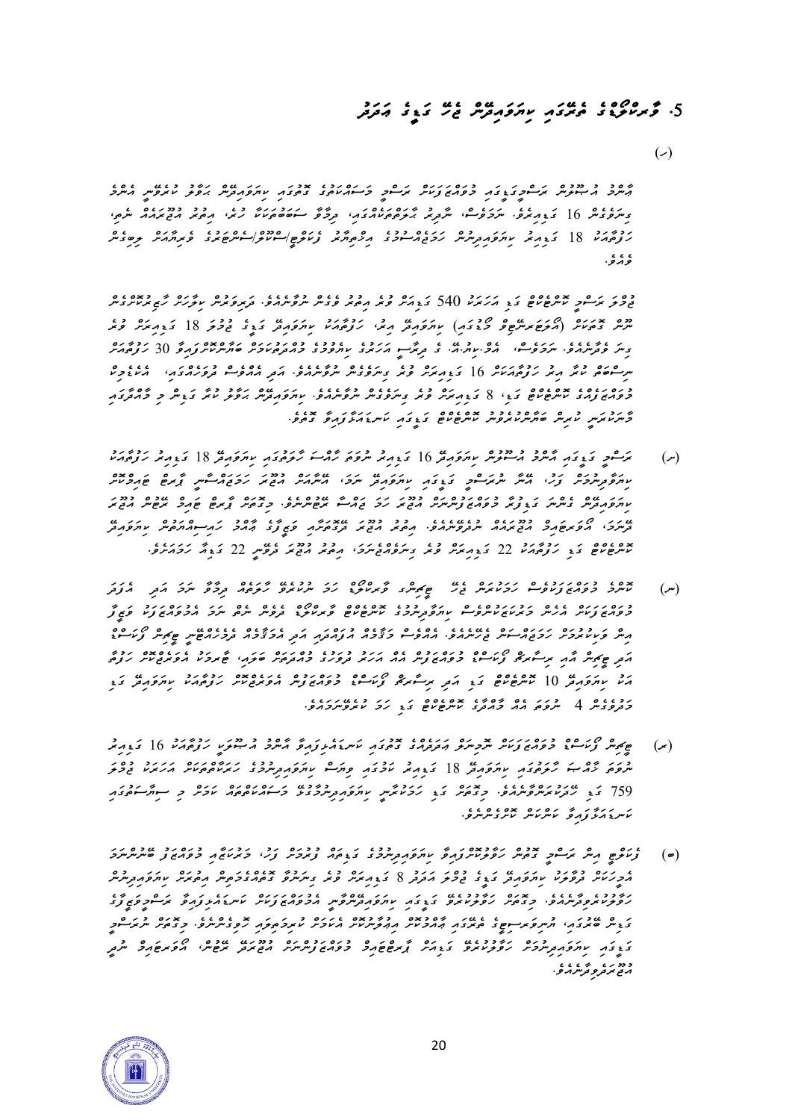# *.5 ވާ ރކްލޯޑްގެ ތެރ ގައި ކިޔަވައިދ ން ޖެހ ގަޑީގެ ޢަދަދު*

 $($ 

*ޢާންމު އުޞޫލުން ރަސްމީގަޑީގައި މުވައްޒަފަކަށް ރަސްމީ މަސައްކަތުގެ ގޮތުގައި ކިޔަވައިދ ން ޙަވާލު ކުރެވ ނީ އެންމެ ގިނަވެގެން 16 ގަޑިއިރެވ.ެ ނަމަވެސ،ް ނާދިރު ޙާލަތްތަކެއްގައ،ި ދިމާވާ ސަބަބުތަކަކާ ހުރ،ެ އިތުރު އުޖޫރައެއް ނެތ،ި ހަފުތާއަކު 18 ގަޑިއިރު ކިޔަވައިދިނުން ހަމަޖެއްސުމުގެ އިޚްތިޔާރު ފެކަލްޓ/ީސްކޫލ/ްސެންޓަރުގެ ވެރިޔާއަށް ލިބިގެން*  ، ، ،<br>و <u>م</u>رو .

*ޖުމްލަ ރަސްމީ ކޮންޓެކްޓް ގަޑި އަހަރަކު 540 ގަޑިއަށް ވުރެ އިތުރު ވެގެން ނުވާނެއެވ.ެ ދަރިވަރުން ކިލާހަށް ހާޒިރުކޮށްގެން ނޫން ގޮތަކަށް )އޯލަޓަރނ ޓިވް މޯޑުގައި( ކިޔަވައިދ އިރ،ު ހަފުތާއަކު ކިޔަވައިދ ގަޑީގެ ޖުމުލަ 18 ގަޑިއިރަށް ވުރެ*  <u></u>ء ﻣﺮﮐﯿ ﻣﺮﮐﯿ ﻣﺮﮐﯿ ﻣﯿﺮﮐﯿ ﻣﯿﺮﮐﯿ ﻣﺮﮐﯿ ﯾﺪﮐﯿ ﯾﺪﮐﯿ ﺩﻭﯾﺮﻭ ﺩﻭ ﻣﻮﻣﺮﯾﺮﯾﺮ ﻣﺮﮐﯿ ﮐﺮﮐﻮﻣﺮ ﻣﯿﺮﯾﻮ ﻣﺮﮐﯿ ﺩﻭﻣﯿﺮ ﻣﯿﺮﮐﯿﺮ ﻣﯿﺮﮐﯿﺮ ﻣﯿﺮ مس عدد د د دردورده ده در دور دردود و مرورد در دردور دردور دردور دردور دردور دردور دردور دردور دردور دردور دردور<br>مس *މުވައްޒަފެއްގެ ކޮންޓެކްޓް ގަޑ،ި 8 ގަޑިއިރަށް ވުރެ ގިނަވެގެން ނުވާނެއެވ.ެ ކިޔަވައިދ ން ޙަވާލު ކުރާ ގަޑިން މި މާއްދާގައި މާނަކުރަނީ ކުރިން ބަޔާންކުރެވުނު ކޮންޓެކްޓް ގަޑީގައި ކަނޑައަޅާފައިވާ ގޮތެ ވ.ެ* 

- *)ށ( ރަސްމީ ގަޑީގައި އާންމު އުސޫލުން ކިޔަވައިދ 16 ގަޑިއިރު ނުވަތަ ހާއްސަ ހާލަތުގައި ކިޔަވައިދ 18 ގަޑިއިރު ހަފުތާއަކު ކިޔަވާދިނުމަށް ފަހ،ު އ ނާ ނުރަސްމީ ގަޑީގައި ކިޔަވައިދ ނަމ،ަ އ ނާއަށް އުޖޫރަ ހަމަޖައްސާނީ ޕާރޓް ޓައިމްކޮށް ކިޔަވައިދ ން ގެންނަ ގަޑިފުރާ މުވައްޒަފުންނަށް އުޖޫރަ ހަމަ ޖައްސާ ރ ޓުންނެވ.ެ މިގޮތަށް ޕާރޓް ޓައިމް ރ ޓުން އުޖޫރަ*   $~\mu$ ´,  $~\rho$ ´,  $~\sigma$ ´,  $~\sigma$ ´,  $~\sigma$ ´,  $~\sigma$ ´,  $~\sigma$ ´,  $~\sigma$ ´,  $~\sigma$ ´,  $~\sigma$ ´,  $~\sigma$ ´,  $~\sigma$ ´,  $~\sigma$ ´,  $~\sigma$ ´,  $~\sigma$ ´,  $~\sigma$ ´,  $~\sigma$ ´,  $~\sigma$ ´,  $~\sigma$ ´,  $~\sigma$ ´,  $~\sigma$ ´,  $~\sigma$ ´,  $~\sigma$ ´,  $~\sigma$ ´,  $~\sigma$ ´,  $~\sigma$ ´,  $~\sigma$ ´,  $~\sigma$ *ކޮންޓެކްޓް ގަޑި ހަފުތާއަކު 22 ގަޑިއިރަށް ވުރެ ގިނަވެއްޖެނަމ،ަ އިތުރު އުޖޫރަ ދެވ ނީ 22 ގަޑިއާ ހަމައަށެވ.ެ*
- *)ނ( ކޮންމެ މުވައްޒަފަކުވެސް ހަމަކުރަން ޖެހ ޓީޗިންގ ވާރކްލޯޑް ހަމަ ނުކުރެވ ހާލަތެއް ދިމާވާ ނަމަ އަދި އެފަދަ މުވައްޒަފަކަށް އެހެން މަރުކަޒަކުންވެސް ކިޔަވާދިނުމުގެ ކޮންޓެކްޓް ވާރކްލޯޑް ދެވެން ނެތް ނަމަ އެމުވައްޒަފަކު ވަޒީފާ*  ﻣﺜﺮ ﻭﺩﺩﻩ ﺩﺭﺩﻩ ﻣﯿﺮﺩﻩ ﺩﻭﺩﻩ ﺩﻩ ﺩﻩ ﺩﻩ ﺩﺩ ﺩﺩﺩﺩﺩ ﻣﺮﻭﺩﺩﻣﻴﺮ ﻣﻮ ﻣﺮﺩ ﺩﺭ ﻣﺮﻣﺮﺩ ﻣﻤﺮ ﻣﺮﺩ ﺩﺭﻣﻴﻢ ﻣﺮﺩ ﺩﺭ ﺩﻩ ﺩﺭ ﺩﺭ ﺩﺭ ﻣﻤﺮ ﺩﺭ ﺩﺭ ﺩ *އަދި ޓީޗިން އާއި ރިސާރޗް ފޯކަސްޑް މުވައްޒަފުން އެއް އަހަރު ދުވަހުގެ މުއްދަތަށް ބަލައ،ި ޓާރމަކު އެވަރެޖްކޮށް ހަފުތާ އަކު ކިޔަވައިދ 10 ކޮންޓެކްޓް ގަޑި އަދި ރިސާރޗް ފޯކަސްޑް މުވައްޒަފުން އެވަރެޖްކޮށް ހަފުތާއަކު ކިޔަވައި ދ ގަޑި މަދުވެގެން 4 ނުވަތަ އެއް މާއްދާގެ ކޮންޓެކްޓް ގަޑި ހަމަ ކުރެވ ނަމައެވ.ެ*
- *)ރ( ޓީޗިން ފޯކަސްޑް މުވައްޒަފަކަށް ނޮމިނަލް ޢަދަދެއްގެ ގޮތުގައި ކަނޑައެޅިފައިވާ އާންމު އުޞޫލަކީ ހަފުތާއަކު 16 ގަޑިއިރު ނުވަތަ ޚާއްޞަ ހާލަތުގައި ކިޔަވައިދ 18 ގަޑިއިރު ކަމުގައި ވިޔަސް ކިޔަވައިދިނުމުގެ ހަރަކާތްތަކަށް އަހަރަކު ޖުމްލަ 759 ގަޑި ހ ދަކުރަންވާނެއެވ.ެ މިގޮތަށް ގަޑި ހަމަކުރާނީ ކިޔަވައިދިނުމާގުޅ މަސައްކަތްތައް ކަމަށް މި ސިޔާސަތުގައި ކަނޑައަޅާފައިވާ ކަންކަން ކޮށްގެންނެވ.ެ*
- *)ބ( ފެކަލްޓީ އިން ރަސްމީ ގޮތުން ހަވާލުކޮށްފައިވާ ކިޔަވައިދިނުމުގެ ގަޑިތައް ފުރުމަށް ފަހ،ު މަރުކަޒާއި މުވައްޒަފު ބ ނުންނަމަ އެމީހަކަށް ދުވާލަކު ކިޔަވައިދ ގަޑީގެ ޖުމްލަ އަދަދު 8 ގަޑިއިރަށް ވުރެ ގިނަނުވާ ގޮތެއްގެމަތިން އިތުރަށް ކިޔަވައިދިނުން ހަވާލުކުރެވިދާނެއެވ.ެ މިގޮތަށް ހަވާލުކުރެވ ގަޑީގައި ކިޔަވައިދ ންވާނީ އެމުވައްޒަފަކަށް ކަނޑައެޅިފައިވާ ރަސްމީވަޒީފާގެ ގަޑިން ބ ރުގައ،ި ޔުނިވަރސިޓީގެ ތެރ ގައި ޢާއްމުކޮށް އިޢުލާނުކޮށް އެކަމަށް ކުރިމަތިލައި ހޮވިގެންނެވ.ެ މިގޮތަށް ނުރަސްމީ ގަޑީގައި ކިޔަވައިދިނުމަށް ހަވާލުކުރެވ ގަޑިއަށް ޕާރޓްޓައިމް މުވައްޒަފުންނަށް އުޖޫރަދ ރ ޓުނ،ް އޯވަރޓައިމް ނުދީ އުޖޫރަދެވިދާނެއެވ.ެ*

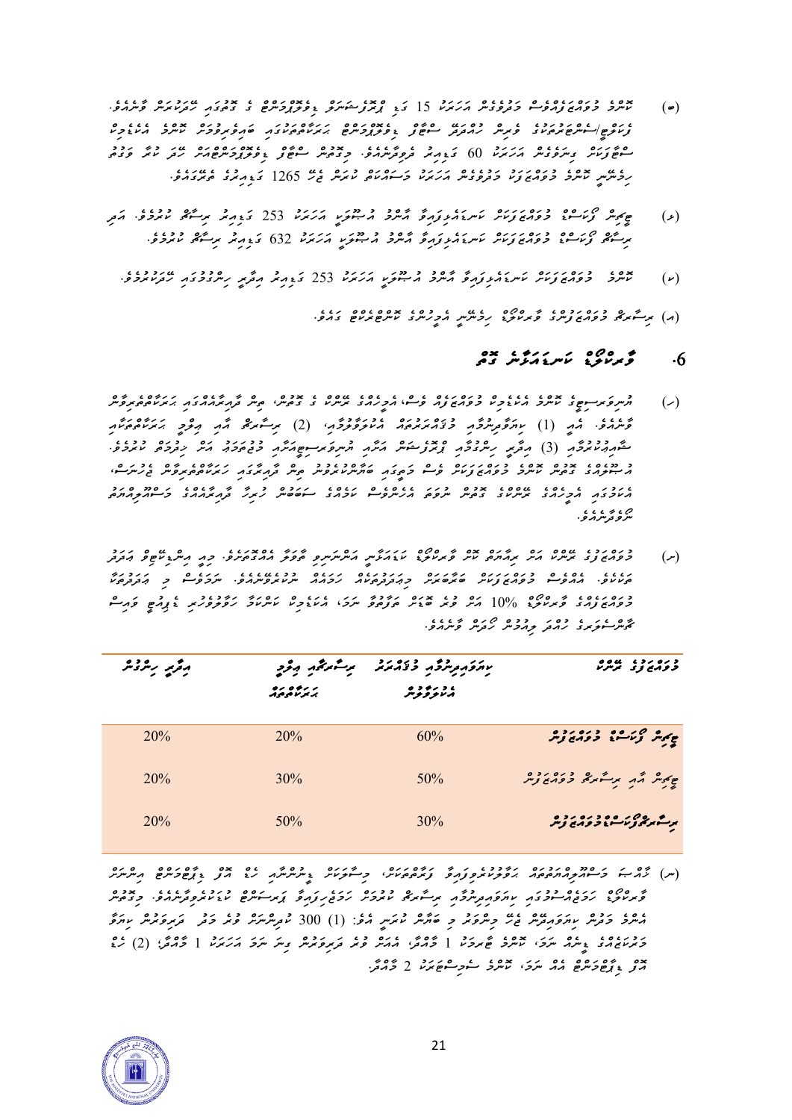- *)ބ( ކޮންމެ މުވައްޒަފެއްވެސް މަދުވެގެން އަހަރަކު 15 ގަޑި ޕްރޮފެޝަނަލް ޑިވެލޮޕްމަންޓް ގެ ގޮތުގައި ހ ދަކުރަން ވާނެއެވ.ެ ފެކަލްޓ/ީސެންޓަރުތަކުގެ ވެރިން ހުއްދަދ ސްޓާފް ޑިވެލޮޕްމަންޓް ޙަރަކާތްތަކުގައި ބައިވެރިވުމަށް ކޮންމެ އެކެޑެމިކް ސްޓާފަކަށް ގިނަވެގެން އަހަރަކު 60 ގަޑިއިރު ދެވިދާނެއެވ.ެ މިގޮތުން ސްޓާފް ޑިވެލޮޕްމަންޓްއަށް ހ ދަ ކުރާ ވަގުތު ހިމެނ ނީ ކޮންމެ މުވައްޒަފަކު މަދުވެގެން އަހަރަކު މަސައްކަތް ކުރަން ޖެހ 1265 ގަޑިއިރުގެ ތެރ ގައެވ.ެ*
- *)ޅ( ޓީޗިން ފޯކަސްޑް މުވައްޒަފަކަށް ކަނޑައެޅިފައިވާ އާންމު އުޞޫލަކީ އަހަރަކު 253 ގަޑިއިރު ރިސާޗް ކުރުމެވ.ެ އަދި*  <del></u></del>
	- *)ކ( ކޮންމެ މުވައްޒަފަކަށް ކަނޑައެޅިފައިވާ އާންމު އުޞޫލަކީ އަހަރަކު 253 ގަޑިއިރު އިދާރީ ހިންގުމުގައި ހ ދަކުރުމެވ.ެ*

) مرگ و دره دوه ده ه ۵۵ ه عدد دوه بدوه ده ده د.<br>(م) مرگزاری *دومی زمر*د تومر *نوخ: رومرمر* مرکز مرکز مرکز است در د

## *.6 ވާރކްލޯޑް ކަނޑައަޅާނެ ގޮތް*

- م مسروکر مسوح کا عدد مان مان دره دره دره دره دره مان دره در دره مان در ۱۳۶۵ میلادی در در در در ۱۳۶۵ میلادی میل<br>(ر) مسروکر مسوح کاملادی از این در این کامل میلادی کامل میلادی کامل میلادی کامل میلادی از میلادی کامل میلادی ک *ވާނެއެވ.ެ އެއީ )1( ކިޔަވާދިނުމާއި މުޤައްރަރުތައް އެކުލަވާލުމާއ،ި )2( ރިސާރޗް އާއި ޢިލްމީ ޙަރަކާތްތަކާއި*  مُحۡمِدِ (3) مِرَّکِمِ رِسِرِ وَحِدِ مِعۡمَدٍ رَحۡمِ مِعۡرَٰہٖ مِنۡرَ ٱلۡمِرۡمِیۡسِمِعِیۡمَدَّرِ ۖ وَیَہِ وَیَہِ مِن وَدِی *އުޞޫލެއްގެ ގޮތުން ކޮންމެ މުވައްޒަފަކަށް ވެސް މަތީގައި ބަޔާންކުރެވުނު ތިން ދާއިރާގައި ހަރަކާތްތެރިވާން ޖެހުނަސ،ް އެކަމުގައި އެމީހެއްގެ ރ ންކްގެ ގޮތުން ނުވަތަ އެހެންވެސް ކަމެއްގެ ސަބަބުން ހުރިހާ ދާއިރާއެއްގެ މަސްއޫލިއްޔަތު*  ⊘، ہ ہ ،<br>سرو ترسر ہر و
- *)ށ( މުވައްޒަފުގެ ރ ންކް އަށް ރިއާޔަތް ކޮށް ވާރކްލޯޑް ކަޑައަޅާނީ އަންނަނިވި ތާވަލާ އެއްގޮތަށެވ.ެ މިއީ އިންޑިކ ޓިވް ޢަދަދު ތަކެކެވ.ެ އެއްވެސް މުވައްޒަފަކަށް ބަރާބަރަށް މިޢަދަދުތަކެއް ހަމައެއް ނުކުރެވ ނެއެވ.ެ ނަމަވެސް މި ޢަދަދުތަކާ މުވައްޒަފެއްގެ ވާރކްލޯޑް % 10 އަށް ވުރެ ބޮޑަށް ތަފާތުވާ ނަމ*،*ަ އެކަޑެމިކް ކަންކަމާ ހަ ވާލުވެހުރި ޑެޕިއުޓީ ވައިސް ޗާންސެލަރގެ ހުއްދަ ލިއުމުން ހޯދަން ވާނެއެވ.ެ*

| د ره رد ، موه و<br>تر <i>و دې</i> تر پر <i>س</i> ر | بالكورو المواد والمحادثة المستحصر المود |                   | رقربر ریردیمر |
|----------------------------------------------------|-----------------------------------------|-------------------|---------------|
|                                                    | ، د رو د ه<br>منتوفونتر                 | 0000000<br>ハロタンメノ |               |
| جەپر كەسمە دەمدىر                                  | 60%                                     | 20%               | 20%           |
| چکر شهر برگرگی دوره ده                             | 50%                                     | $30\%$            | 20%           |
| برگرگرگر می دره روم<br>برگرگرگر می در دیگر زند     | 30%                                     | $50\%$            | 20%           |

) محمد مسلم محمد عدد محمد عدد محمد محمد من المسلم المسلم المسلم المسلم المسلم المسلم المسلم المسلم المسلم المس<br>(س) محمد المسلم المسلم المسلم المسلم المسلم المسلم المسلم المسلم المسلم المسلم المسلم المسلم المسلم المسلم الم *ވާރކްލޯޑް ހަމަޖެއްސުމުގައި ކިޔަވައިދިނުމާއި ރިސާރޗް ކުރުމަށް ހަމަޖެހިފައިވާ ޕަރސަންޓް ކުޑަކުރެވިދާނެއެވ.ެ މިގޮތުން*  مِعْدِ حَرْشْ سِيرَوَ مِعْرٌ غِيْرٍ حِسْرَةٍ ۖ وَ حَبَّرْشْ تَمَسِي مْعْ: (1) 300 تُورِشْرْشْرْ قْبُرْ حَرْضٍ عَبْرِ مَرْشَ *މަރުކަޒެއްގެ ޑީނެއް ނަމ،ަ ކޮންމެ ޓާރމަކު 1 މާއްދ،ާ އެއަށް ވުރެ ދަރިވަރުން ގިނަ ނަމަ އަހަރަކު 1 މާއްދާ؛ )2( ހެޑް އޮފް ޑިޕާޓްމަންޓް އެއް ނަމ،ަ ކޮންމެ ސެމިސްޓަރަކު 2 މާއްދ.ާ* 

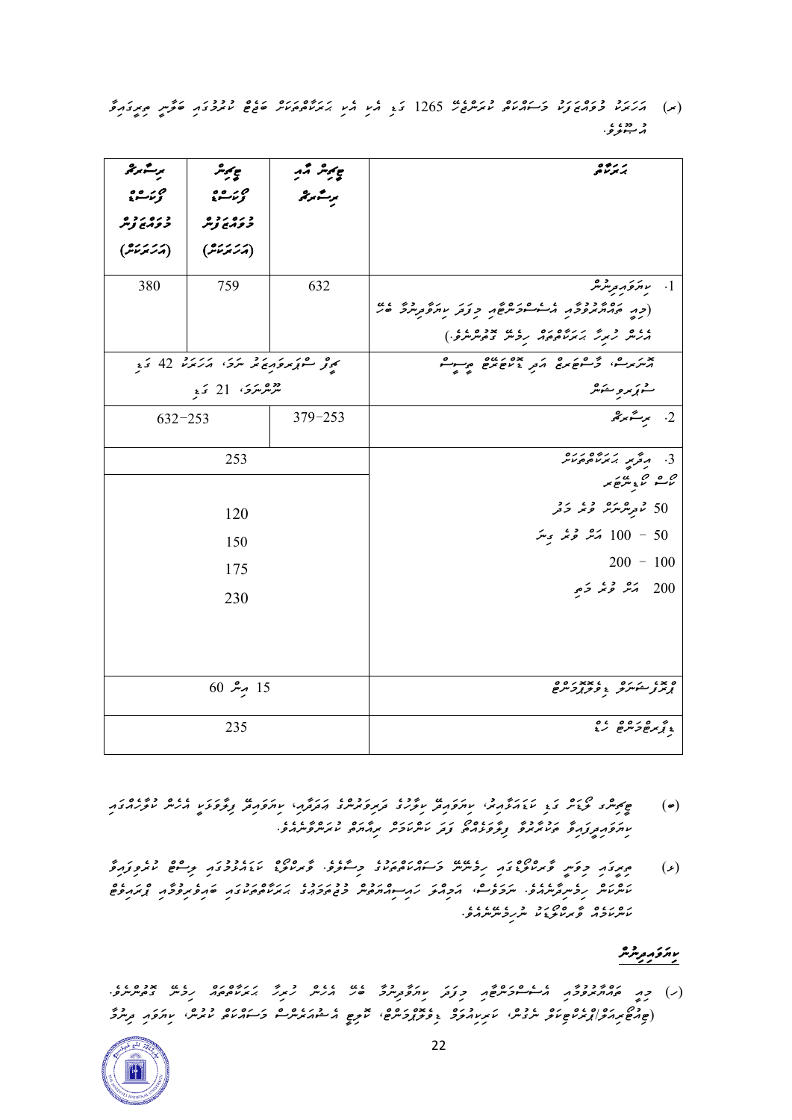*)ރ( އަހަރަކު މުވައްޒަފަކު މަސައްކަތް ކުރަންޖެހ 1265 ގަޑި އެކި އެކި ޙަރަކާތްތަކަށް ބަޖެޓް ކުރުމުގައި ބަލާނީ ތިރީގައިވާ*  د دد، ،<br>م**سو**ر

| ىرىسە پرىجى<br>مې ئەت قىلى<br>مۇنى <i>ق</i> | ج پر شر<br>ح<br>تؤيمات                          | ۽ پڻ ٿير<br>پڻ س | بر برموه<br>بر <del>م</del> رتم <sup>و</sup>                                                                                  |
|---------------------------------------------|-------------------------------------------------|------------------|-------------------------------------------------------------------------------------------------------------------------------|
| د ده رو و                                   | د ره رد و<br>د وړنئ توس                         |                  |                                                                                                                               |
| (پرَ پَرَ پَدْ )                            | (أرَكَرْ مَدْمَدٌ)                              |                  |                                                                                                                               |
| 380                                         | 759                                             | 632              | اسىم ئەركە بىر ئىرلىكە $1$                                                                                                    |
|                                             |                                                 |                  | (כת החתיתפלת הייריים מסף כנב עתפלתים של                                                                                       |
|                                             |                                                 |                  |                                                                                                                               |
|                                             | ن <sub>ە ئ</sub> و سوزىرە مەندىرە ، مەندىر 42 ئ |                  | بديرين و موضع بن بده بده من به                                                                                                |
|                                             | نىزىترىكرى 21 ك <sub>ى</sub>                    |                  | شۇ ئۆرۈپىدىگە                                                                                                                 |
| $632 - 253$                                 |                                                 | $379 - 253$      | 2. برسمبرچی                                                                                                                   |
|                                             | 253                                             |                  | $\frac{1}{2}$ $\frac{1}{2}$ $\frac{1}{2}$ $\frac{1}{2}$ $\frac{1}{2}$ $\frac{1}{2}$ $\frac{1}{2}$ $\frac{1}{2}$ $\frac{1}{2}$ |
|                                             |                                                 |                  | ص ھو گريو تھا.<br>ماڪسم ڪري تعريض تعر                                                                                         |
|                                             | 120                                             |                  | 50 ٹرمریٹریٹر ٹریز ڈٹر                                                                                                        |
|                                             | 150                                             |                  | رشر توغر برسر $100 - 50$                                                                                                      |
|                                             | 175                                             |                  | $200 - 100$                                                                                                                   |
| 230                                         |                                                 |                  | 200 - پَسْرٌ تَحَرُّ وَجِرٍ                                                                                                   |
|                                             |                                                 |                  |                                                                                                                               |
|                                             |                                                 |                  |                                                                                                                               |
|                                             | $60$ مبر 15                                     |                  | ه بد ، دره من ، پروه ه<br>بر در دسترگر ، در برو سرح                                                                           |
|                                             |                                                 |                  |                                                                                                                               |
|                                             | 235                                             |                  | o co o o o<br>ءِ نو مرضوضرضح کرنج                                                                                             |

- *)ބ( ޓީޗިންގ ލޯޑަށް ގަޑި ކަޑައަޅާއިރ،ު ކިޔަވައިދ ކިލާހުގެ ދަރިވަރުންގެ ޢަދަދާއ*،*ި ކިޔަވައިދ ފިލާވަޅަކީ އެހެން ކުލާހެއްގައި ކިޔަވައިދީފައިވާ ތަކުރާރުވާ ފިލާވަޅެއްތޯ ފަދަ ކަންކަމަށް ރިއާޔަތް ކުރަންވާނެއެވ.ެ*
- *)ޅ( ތިރީގައި މިވަނީ ވާރކްލޯޑްގައި ހިމެނ ނ މަސައްކަތްތަކުގެ މިސާލެވ.ެ ވާރކްލޯޑް ކަޑައެޅުމުގައި ލިސްޓް ކުރެވިފައިވާ*  **٬ و دو سروسرور درم نیمو** در دور در دور دور دور دور دور و در دور و در دور و در دور و در دور و در دور و در دور<br>مسرماس روسروسردو سرووسز، کردیمو کردیموسر و دور در پرداموم او در کارو و در و در و *ކަންކަމެއް ވާރކްލޯޑަކު ނުހިމެނ ނެއެވ.ެ*

## ى<sub>م</sub>ىر ئەرەر شەر

*)ހ( މިއީ ތައްޔާރުވުމާއި އެސެސްމަންޓާއި މިފަދަ ކިޔަވާދިނުމާ ބެހ އެހެން ހުރިހާ ޙަރަކާތްތައް ހިމެނ ގޮތުންނެވެ . )ޓިއުޓޯރިއަލ/ްޕްރެކްޓިކަލް ނެގުނ،ް ކަރިކިއުލަމް ޑިވެލޮޕްމަ ންޓ،ް ކޮލިޓީ އެޝުއަރެންސް މަސައްކަތް ކުރުނ،ް ކިޔަވައި ދިނުމާ* 

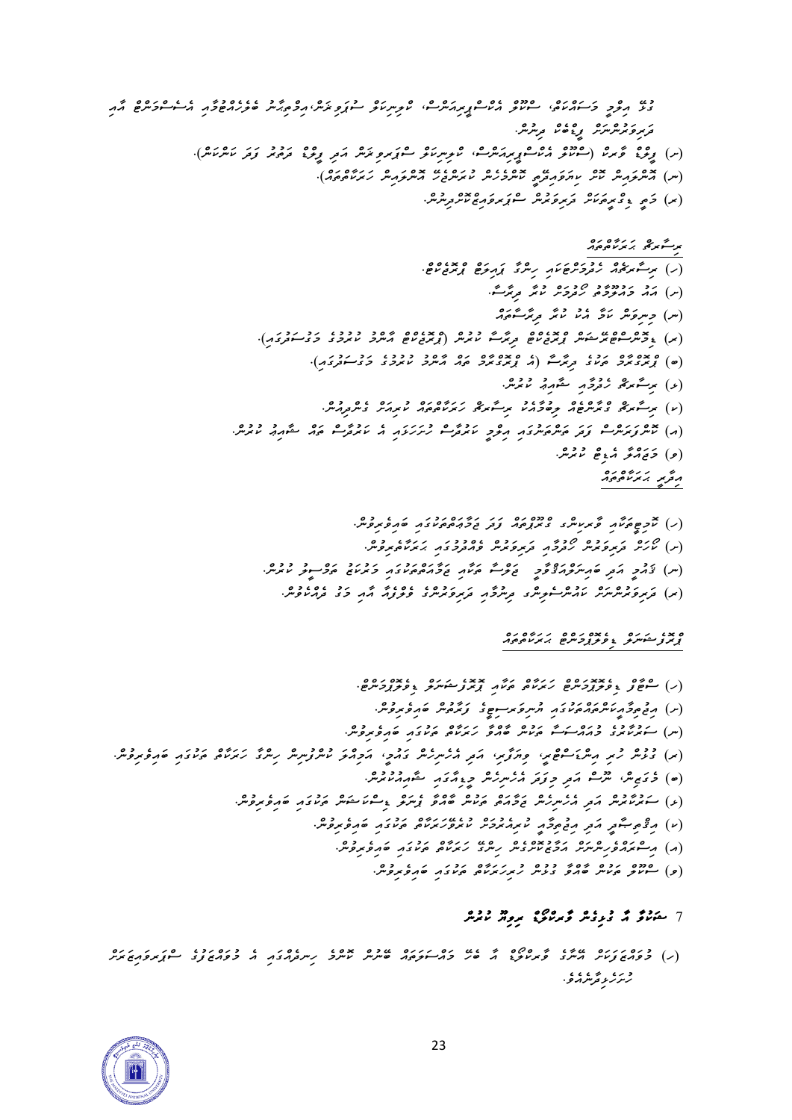*ގުޅ އިލްމީ މަސައްކަތ،ް ސްކޫލް އެކްސްޕީރިއަންސ،ް ކްލިނިކަލް ސުޕަވި ޜަނ،ްއިމްތިޙާނު ބެލެހެއްޓުމާއި އެސެސްމަންޓް އާއި*  د<br>قرمز قرمز من سر من المرس من المرس.<br>قرمز قرمز من سر من المرس من المرس. *)ށ( ފީލްޑް ވާރކް )ސްކޫލް އެކްސްޕީރިއަންސ،ް ކްލިނިކަލް ސްޕަރވިޜަން އަދި ފީލްޑް ދަތުރު ފަދަ ކަންކަން(.* )<br>(س) مسركرمبش خيش ب<sub>وال</sub>ركوم مسركريش مترده من المسركة المسركة المسركة المسركة).<br>المسركة المسركة المسركة المسركة المسركة المسركة المسركة المسركة المسركة المسركة المسركة المسركة المسركة المسركة (*×) حَمِيَّ ِوَمِّرِ هُرَ مَنْ مِرْ وَمُرِهْرِ مَنْ مِنْ وَمِنْ مِنْ وَمِنْ مِنْ وَمِنْ ރިސާރޗް ޙަރަކާތްތައް* 

$$
\frac{1}{2} \int_{\alpha}^{2} \frac{1}{2} \int_{\alpha}^{2} \frac{1}{2} \int_{\alpha}^{2} \frac{1}{2} \int_{\alpha}^{2} \frac{1}{2} \int_{\alpha}^{2} \frac{1}{2} \int_{\alpha}^{2} \frac{1}{2} \int_{\alpha}^{2} \frac{1}{2} \int_{\alpha}^{2} \frac{1}{2} \int_{\alpha}^{2} \frac{1}{2} \int_{\alpha}^{2} \frac{1}{2} \int_{\alpha}^{2} \frac{1}{2} \int_{\alpha}^{2} \frac{1}{2} \int_{\alpha}^{2} \frac{1}{2} \int_{\alpha}^{2} \frac{1}{2} \int_{\alpha}^{2} \frac{1}{2} \int_{\alpha}^{2} \frac{1}{2} \int_{\alpha}^{2} \frac{1}{2} \int_{\alpha}^{2} \frac{1}{2} \int_{\alpha}^{2} \frac{1}{2} \int_{\alpha}^{2} \frac{1}{2} \int_{\alpha}^{2} \frac{1}{2} \int_{\alpha}^{2} \frac{1}{2} \int_{\alpha}^{2} \frac{1}{2} \int_{\alpha}^{2} \frac{1}{2} \int_{\alpha}^{2} \frac{1}{2} \int_{\alpha}^{2} \frac{1}{2} \int_{\alpha}^{2} \frac{1}{2} \int_{\alpha}^{2} \frac{1}{2} \int_{\alpha}^{2} \frac{1}{2} \int_{\alpha}^{2} \frac{1}{2} \int_{\alpha}^{2} \frac{1}{2} \int_{\alpha}^{2} \frac{1}{2} \int_{\alpha}^{2} \frac{1}{2} \int_{\alpha}^{2} \frac{1}{2} \int_{\alpha}^{2} \frac{1}{2} \int_{\alpha}^{2} \frac{1}{2} \int_{\alpha}^{2} \frac{1}{2} \int_{\alpha}^{2} \frac{1}{2} \int_{\alpha}^{2} \frac{1}{2} \int_{\alpha}^{2} \frac{1}{2} \int_{\alpha}^{2} \frac{1}{2} \int_{\alpha}^{2} \frac{1}{2} \int_{\alpha}^{2} \frac{1}{2} \int_{\alpha}^{2} \frac{1}{2} \int_{\alpha}^{2} \frac{1}{2} \int_{\alpha}^{2} \frac{1}{2} \int_{\alpha}^{2} \frac{1}{2}
$$

*)ހ( ކޮމިޓީތަކާއި ވާރކިންގ ގްރޫޕްތައް ފަދަ ޖަމާޢަތްތަކުގައި ބައިވެރިވުނ.ް )ށ( ކޯހަށް ދަރިވަރުން ހޯދުމާއި ދަރިވަރުން ވެއްދުމު ގައި ޙަރަކާތެރިވުނ.ް )ނ( ޤައުމީ އަދި ބައިނަލްއަޤްވާމީ ޖަލްސާ ތަކާއި ޖަމާއަތްތަކުގައި މަރުކަޒު ތަމްސީލު ކުރުނ.ް )ރ( ދަރިވަރުންނަށް ކައުންސެލިންގ ދިނުމާއި ދަރިވަރުންގެ ވެލްފެއާ އާއި މަގު ދެއްކެވުނ.ް*

### *ޕްރޮފެޝަނަލް ޑިވެލޮޕްމަންޓް ޙަރަކާތްތައް*

*)ހ( ސްޓާފް ޑިވެލޮޕޮމަންޓް ހަރަކާތް ތަކާއި ޕޮރޮފެޝަނަލް ޑިވެލޮޕްމަންޓ.ް )ށ( އިޖުތިމާއީކަންތައްތަކުގައި ޔު ނިވަރސިޓީގެ ފަރާތުން ބައިވެރިވުނ.ް )ނ( ސަރުކާރުގެ މުއައްސަސާ ތަކުން ބާއްވާ ހަރަކާތް ތަކުގައި ބައިވެރިވުނ.ް )ރ( ގުޅުން ހުރި އިންޑަސްޓްރ،ީ ވިޔަފާރ،ި އަދި އެހެނިހެން ގައުމ،ީ އަމިއްލަ ކުންފުނިން ހިންގާ ހަރަކާތް ތަކުގައި ބައި ވެރިވުނ.ް )ބ( މެގަޒިނ،ް ނޫސް އަދި މިފަދަ އެހެނިހެން މީޑިއާގައި ޝާއިއުކުރުނ.ް )ޅ( ސަރުކާރުން އަދި އެހެނިހެން ޖަމާއަތް ތަކުން ބާއްވާ ޕެނަލް ޑިސް ކަޝަން ތަކުގައި ބައިވެރިވު ނ.ް )ކ( އިޤްތި ޞާދީ އަދި އިޖުތިމާއީ ކުރިއެރުމަށް ކުރެވ ހަރަކާތް ތަކުގައި ބައިވެރިވުނ.ް )އ( އިސްރައްވެހިންނަށް އަމާޒުކޮށްގެން ހިންގ ހަރަކާތް ތަކުގައި ބައިވެރިވުނ.ް )ވ( ސްކޫލް ތަކުން ބާއްވާ ގުޅުން ހުރިހަރަކާތް ތަކުގައި ބައިވެރިވުނ.ް* 

## *7 ޝަކުވާ އާ ގުޅިގެން ވާރކްލޯޑް ރިވިޔޫ ކުރުން*

*)ހ( މުވައްޒަފަކަށް އ ނާގެ ވާރކްލޯޑް އާ ބެހ މައްސަލަތައް ބ ނުން ކޮންމެ ހިނދެއްގައި އެ މުވައްޒަފުގެ ސްޕަރވައިޒަރަށް ހުށަހެޅިދާނެއެވ.ެ* 

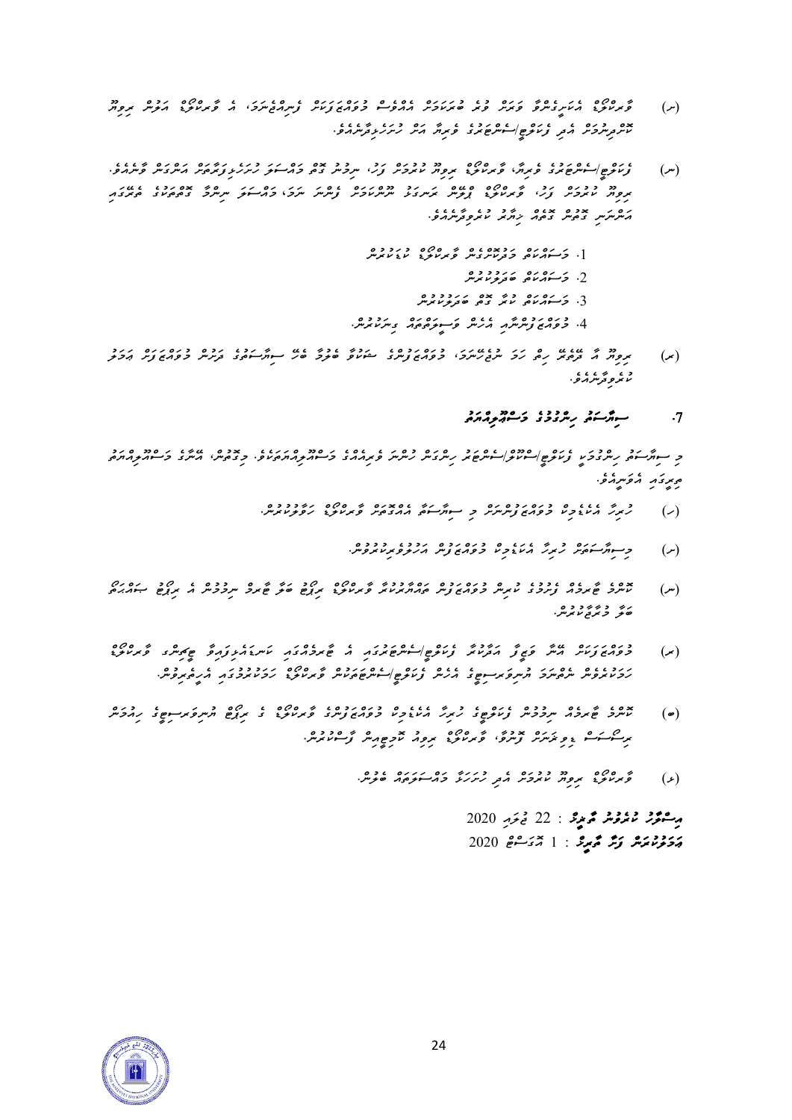- *)ށ( ވާރކްލޯޑް އެކަށީގެންވާ ވަރަށް ވުރެ ބުރަކަމަށް އެއްވެސް މުވައްޒަފަކަށް ފެނިއްޖެނަމ،ަ އެ ވާރކްލޯޑް އަލުން ރިވިޔޫ ކޮށްދިނުމަށް އެދި ފެކަލްޓ/ީސެންޓަރުގެ ވެރިޔާ އަށް ހުށަހެޅިދާނެއެވ.ެ*
- ) عروض عام (ع) عرض عامر خاص 20 دورون روم دورد دورد در ورع در حدود در حدود عداد علم عامر<br>(س) = تو*ریز خط | سیس جری در حرب کرم دولی عروفر تور، سرح سرح در سوفر در در خورم*یر ایسری سر کوسرایری *ރިވިޔޫ ކުރުމަށް ފަހ،ު ވާރކްލޯޑް ޕްލ ން ރަނގަޅު ނޫންކަމަށް ފެންނަ ނަމަ* ، *މައްސަލަ ނިންމާ ގޮތްތަކުގެ ތެރ ގައި*  **موسرس بدده بوده در ۶۰۶۰۰**<br>مرسرسرس <sub>ک</sub>وچس <sub>ک</sub>وچر نرمز سروتر سرمرو.
	- .1 <del>د د</del>وړو د دوه د دوده<br>[. <del>د م</del>ورس *د د مرسو*ن ساند سرانو پ .<br>2. <del>د س</del>ور موروبر
		- *.3 މަސައްކަތް ކުރާ ގޮތް ބަދަލުކުރުން*
	- *.4 މުވައްޒަފުންނާއި އެހެން ވަސީލަތްތައް ގިނަކުރުނ.ް*
- *)ރ( ރިވިޔޫ އާ ދ ތެރ ހިތް ހަމަ ނުޖެހ ނަމ،ަ މުވައްޒަފުންގެ ޝަކުވާ ބެލުމާ ބެހ ސިޔާސަތުގެ ދަށުން މުވައްޒަފަށް ޢަމަލު ކުރެވިދާނެއެވ.ެ*

## *.7 ސިޔާސަތު ހިންގުމުގެ މަސްޢޫލިއްޔަތު*

*މި ސިޔާސަތު ހިންގުމަކީ ފެކަލްޓ/ީސްކޫލ/ްސެންޓަރު ހިންގަން ހުންނަ ވެރިއެއްގެ މަސްއޫލިއްޔަތަކެވ.ެ މިގޮތުނ،ް އ ނާގެ މަސްއޫލިއްޔަތު ތިރީގައި އެވަނީއެވ.ެ* 

- ) حمد من عدد عدد عدد المحدد عدد المحدد عدد المحدد المحدود عدد المحدود عدد المحدود عدد المحدود عدد المحدود عدد ا<br>(ر) مسترد المحدود المحدود المحدود المحدود المحدود المحدود المحدود المحدود المحدود المحدود المحدود المحدود الم
	- *)ށ( މިސިޔާސަތަށް ހުރިހާ އެކަޑެމިކް މުވައްޒަފުން އަހުލުވެރިކުރުވުނ.ް*
- *)ނ( ކޮންމެ ޓާރމެއް ފެށުމުގެ ކުރިން މުވައްޒަފުން ތައްޔާރުކުރާ ވާރކްލޯޑް ރިޕޯޓު ބަލާ ޓާރމް ނިމުމުން އެ ރިޕޯޓު ޞައްޙަ ތޯ ބަލާ މުރާޖާކުރުނ.ް*
- *)ރ( މުވައްޒަފަކަށް އ ނާ ވަޒީފާ އަދާކުރާ ފެކަލްޓ/ީސެންޓަރުގައި އެ ޓާރމެއްގައި ކަނޑައެޅިފައިވާ ޓީޗިންގ ވާރކްލޯޑް ހަމަކުރެވެން ނެތްނަމަ ޔުނިވަރސިޓީގެ އެހެން ފެކަލްޓ/ީސެންޓަތަކުން ވާރކްލޯޑް ހަމަކުރުމުގައި އެހީތެރިވުނ.ް*
- *)ބ( ކޮންމެ ޓާރމެއް ނިމުމުން ފެކަލްޓީގެ ހުރިހާ އެކެޑެމިކް މުވައްޒަފުންގެ ވާރކްލޯޑް ގެ ރިޕޯޓް ޔުނިވަރސިޓީގެ ހިއުމަން ރިސޯސަސް ޑިވިޜަނަށް ފޮނުވ،ާ ވާރކްލޯޑް ރިވިއު ކޮމިޓީއިން ފާސްކުރުނ.ް*
	- خبر عرض من دوره و درره ده درره وده.<br>(ع) مح*مر من خبر المحمد المحمد المحمد المحمد المحمد العر*س.

*އިސްލާހު ކުރެވުނު ތާޜީޚް : 22 ޖުލައި 2020 ޢަމަލުކުރަން ފަށާ ތާރީޚް : 1 އޮގަސްޓް 2020*

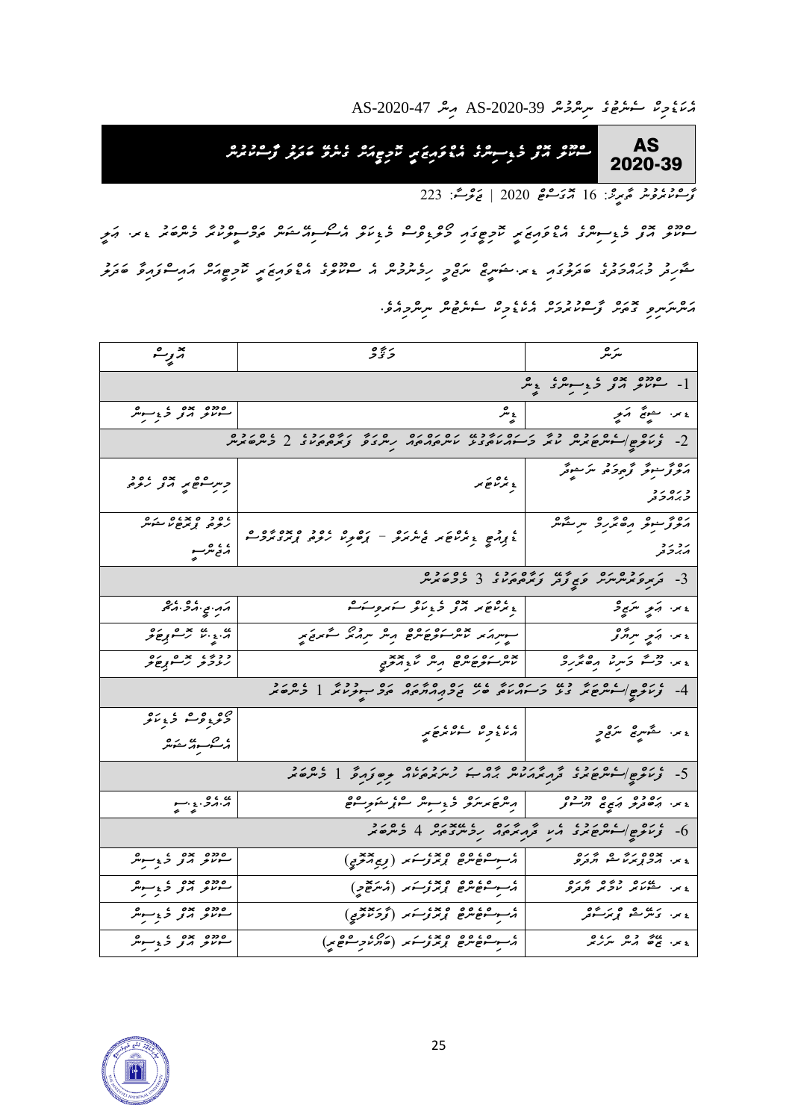مَ*ئِنْ*ءُوِڠ شَعْرُحْ \$ AS-2020-39 مِسْ AS-2020-47

AS 2020-39 *ސްކޫލް އޮފް މެޑިސިންގެ އެޑްވައިޒަރީ ކޮމިޓީއަށް ގެނެވ ބަދަލު ފާސްކުރުން* 

*ފާސްކުރެވުނު ތާރީޚ:ް 16 އޮގަސްޓް 2020 | ޖަލްސ:ާ 223* 

*ސްކޫލް އޮފް މެޑިސިންގެ އެޑްވައިޒަރީ ކޮމިޓީގައި މޯލްޑިވްސް މެޑިކަލް އެސޯސިއ ޝަން ތަމްސީލްކުރާ މެންބަރު ޑރ. ޢަލީ ޝާހިދު މުޙައްމަދުގެ ބަދަލުގައި ޑރ.ޝަނީޒް ނަޖްމީ ހިމެނުމުން އެ ސްކޫލްގެ އެޑްވައިޒަރީ ކޮމިޓީއަށް އައިސްފައިވާ ބަދަލު އަންނަނިވި ގޮތަށް ފާސްކުރުމަށް އެކެޑެމިކް ސެނެޓުން ނިންމިއެވ.ެ*

| جزير هم                                                                                                        | 5 تۇ ۋ                                                                                                                                                                                                                                                                                                              | سرتر                                                                                                                                                 |  |  |  |
|----------------------------------------------------------------------------------------------------------------|---------------------------------------------------------------------------------------------------------------------------------------------------------------------------------------------------------------------------------------------------------------------------------------------------------------------|------------------------------------------------------------------------------------------------------------------------------------------------------|--|--|--|
|                                                                                                                | $\frac{1}{2}$ $\frac{1}{2}$ $\frac{1}{2}$ $\frac{1}{2}$ $\frac{1}{2}$ $\frac{1}{2}$ $\frac{1}{2}$ $\frac{1}{2}$ $\frac{1}{2}$ $\frac{1}{2}$ $\frac{1}{2}$ $\frac{1}{2}$ $\frac{1}{2}$ $\frac{1}{2}$ $\frac{1}{2}$ $\frac{1}{2}$ $\frac{1}{2}$ $\frac{1}{2}$ $\frac{1}{2}$ $\frac{1}{2}$ $\frac{1}{2}$ $\frac{1}{2}$ |                                                                                                                                                      |  |  |  |
| موده بده ، مورد<br>مشروح دی <sub>ر کرد</sub>                                                                   | پېژ                                                                                                                                                                                                                                                                                                                 | ۽ <sub>من س</sub> مبرخ آھي۔                                                                                                                          |  |  |  |
|                                                                                                                | 2- יים פון המינים בי גן המיניג המינים המיני היים הבי גן המינים.<br>2- נותם איינים הנית נוהג כי הגנום בי ניות הגם היית בי ניהלים בי כיתם הנית                                                                                                                                                                        |                                                                                                                                                      |  |  |  |
| ڊسرڪوھ پر مدبر روم                                                                                             | پر تنظیمه<br>  په تر تنظیمه                                                                                                                                                                                                                                                                                         | رەم سور ترىم ئەسىر ئىسىم ئىسىر ئىسىر ئىسىر<br>مەسىر ئىسىر ئىسىر ئىسىر<br>د ره ر د<br><i>د ب</i> رگر تر                                               |  |  |  |
| ، <i>٥ و ٤ × ٥ و هر هر</i><br>ر <sub>مومو</sub> پ <sub>ر مو</sub> مر هر م<br>، ، ، ه<br>پر <sub>ى</sub> جىترىپ | ، ده دره دره دره ده و ، ده و و و و و و و و و و ده و و ه<br>د پوره د برنام بر د سربرن – پوهوند رنوه پوره برد کرد                                                                                                                                                                                                     | رەم سورت مەھمەر ئىرىمىتىلگەنلىرى بىر ئىندىكى ئىندا ئىندىكى ئىندىكى ئىندىكى ئىندىكى ئىندىكى ئىندىكى ئ<br>بر د بر د<br><i>ډېر</i> د تر                 |  |  |  |
|                                                                                                                |                                                                                                                                                                                                                                                                                                                     | 3- בתפתיניות פן צבק צמפימים 3 בכסתית                                                                                                                 |  |  |  |
| ړې . چې د چې د چې                                                                                              | دیمراغ پر پرو د دیگر کرده در کرد                                                                                                                                                                                                                                                                                    | ء س <i>ر ، ڊپر سري و</i>                                                                                                                             |  |  |  |
| ي <sub>. ۽</sub> بي جھ ميڪر                                                                                    | - אינה או איני וקפים בים ולא מרי הוא לא או לא א                                                                                                                                                                                                                                                                     | $\overline{\phantom{a}}$ , and $\overline{\phantom{a}}$ , and $\overline{\phantom{a}}$ , and $\overline{\phantom{a}}$ , and $\overline{\phantom{a}}$ |  |  |  |
| ددو، برهږغږ                                                                                                    |                                                                                                                                                                                                                                                                                                                     | ، بر. دقت دَسر ما مِنْ مَرْدِ                                                                                                                        |  |  |  |
|                                                                                                                | 4- ניית קוליית של כל כל הניילה של כפר החתים הפיית הנייל   ליתפית                                                                                                                                                                                                                                                    |                                                                                                                                                      |  |  |  |
| ەم <sub>و</sub> ۋە ئەنگە                                                                                       | ،،، وه عده عدم برخ بر                                                                                                                                                                                                                                                                                               | ۽ پر سمگھريج مر <sub>قع</sub> و                                                                                                                      |  |  |  |
| 5- ניית פוריית שית בת האולית התיה ליולים אין קיינת כל בית ביל                                                  |                                                                                                                                                                                                                                                                                                                     |                                                                                                                                                      |  |  |  |
| 5.5.5.5                                                                                                        |                                                                                                                                                                                                                                                                                                                     |                                                                                                                                                      |  |  |  |
| 6- ניתק וליתפלגז גי קגיקור נכינזיקי 4 ליתפל                                                                    |                                                                                                                                                                                                                                                                                                                     |                                                                                                                                                      |  |  |  |
| موده بده ، د سرچر<br>سرحر مربر د بر بر                                                                         | مىسوسقۇمىزقا قومتۇرىنىدا زىرەتمىرىمى)                                                                                                                                                                                                                                                                               | ٤ پر ٥٥ پره ريم ده گر <sub>مر</sub> ه<br>٤ پر ابر <i>د پر پر س</i> م گرمر <i>ه</i>                                                                   |  |  |  |
| موده بده ، د برگر<br>سرگر د تر د برگر                                                                          | مسو شؤهرهي وجزوجته (مستقيح)                                                                                                                                                                                                                                                                                         | ع بر. مشور بوده و برده<br>ع بر. مشور بر بر بر بر بردرو                                                                                               |  |  |  |
| موده بده ، سرمگر<br>مسرم برتر د بر بر                                                                          | م سوسقىۋە قوم ئومرىز (ئۇچرىدى)<br>م                                                                                                                                                                                                                                                                                 | <sub>٤</sub> ير. ، <sub>ک</sub> ش مده و پر ش <sub>ور</sub>                                                                                           |  |  |  |
| موده بدوغ سرمر<br>سرمر مرز د <sub>ی</sub> سرمر                                                                 | ومسوسقى مروغ ومجتموسكم والمستره وسقوتني                                                                                                                                                                                                                                                                             | ور ور دو برده<br>در برخ می مرکز مرکز بر                                                                                                              |  |  |  |

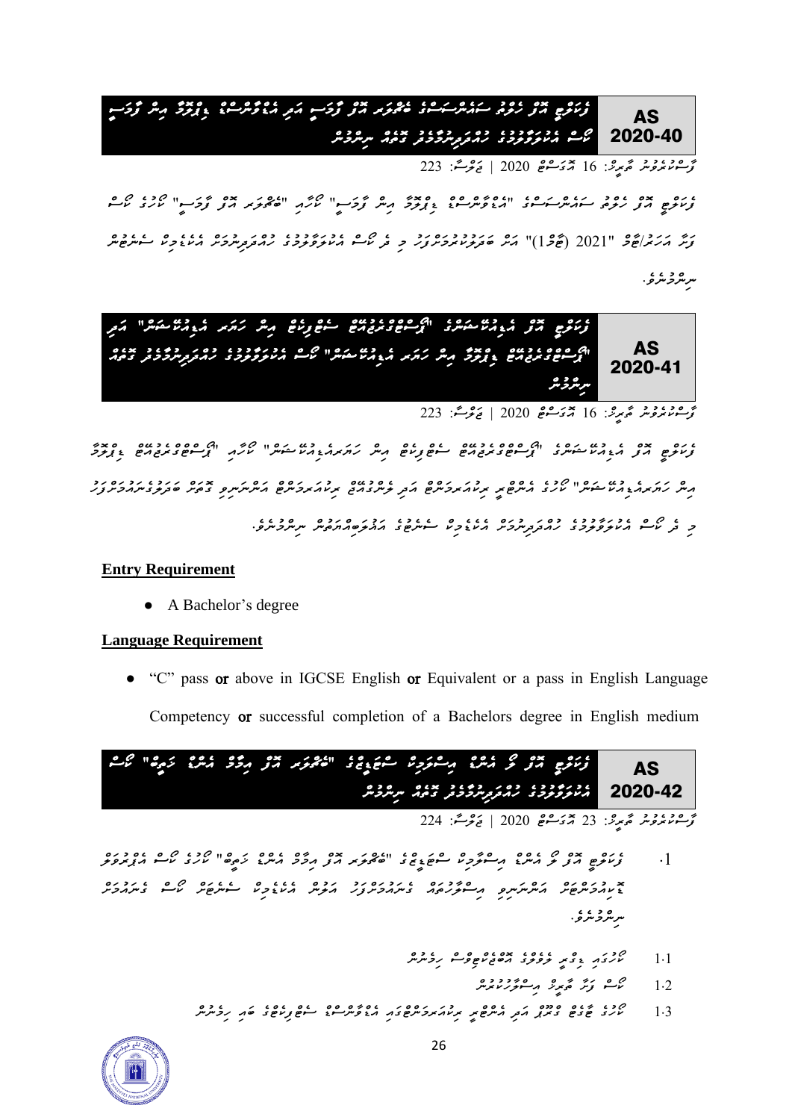AS 2020-40 *ފެކަލްޓީ އޮފް ހެލްތު ސައެންސަސްގެ ބެޗްލަރ އޮފް ފާމަސީ އަދި އެޑްވާންސްޑް ޑިޕްލޮމާ އިން ފާމަސީ ކޯސް އެކުލަވާލުމުގެ ހުއްދަދިނުމާމެދު ގޮތެއް ނިންމުން* 

*ފާސްކުރެވުނު ތާރީޚ:ް 16 އޮގަސްޓް 2020 | ޖަލްސ:ާ 223* 

*ފެކަލްޓީ އޮފް ހެލްތު ސައެންސަސްގެ "އެޑްވާންސްޑް ޑިޕްލޮމާ އިން ފާމަސީ" ކޯހާއި "ބެޗްލަރ އޮފް ފާމަސީ" ކޯހުގެ ކޯސް*  مِح مرد حرم الحرم المحركة "2021 )" كانت حادو و ره روب عام 10 مارنو و ده عام 10 مارنو من عام 10 مارنو من عام 10<br>توسر كار برابع 3 "[20] (تحركة الرحم المحرم المرح سرفر المحرم المحرم المستم المرحم المحرم المحرم المحرم المستق مر مرد دي .<br>مر مرو مرو .



*ފާސްކުރެވުނު ތާރީޚ:ް 16 އޮގަސްޓް 2020 | ޖަލްސ:ާ 223* 

*ފެކަލްޓީ އޮފް އެޑިއުކ ޝަންގެ "ޕޯސްޓްގްރެޖުއ ޓް ސެޓްފިކެޓް އިން ހަޔަރއެޑިއު ކ ޝަން" ކޯހާއި "ޕޯސްޓްގްރެޖުއ ޓް ޑިޕްލޮމާ , ס גיג ב ג*ו גם וויס גם גם ס פי גו גם ג' גם ג' גם פרי גם פי גם הס הם ג' גם ג' ג' ג' ג' ג' ג' ג' ג' ג' ג' ג' ג'<br>ג'יי, ג'ורגרג' ג' ג' עיר ב ריית פי די ג' ג' ג' ג' ג' די קי די ג' ג' ג' ג' ג' ג' ג' ג' ג' שבקצ' מי ג' ג' ג' *މި ދެ ކޯސް އެކުލަވާލުމުގެ ހުއްދަދިނުމަށް އެކެޑެމިކް ސެނެޓުގެ އަޣުލަބިއްޔަތުން ނިންމުނެވ.ެ* 

#### **Entry Requirement**

● A Bachelor's degree

#### **Language Requirement**

● *"C" pass or above in IGCSE English or Equivalent or a pass in English Language Competency or successful completion of a Bachelors degree in English medium*

AS 2020-42 عدده حدود محدود معروف الحدود حدود معدد الموسيق الموسيق الموسيق المحدود المحدود المحدود المحدود المحدود المحدود<br>المحدود المحدود المحدود المحدود المحدود المحدود المحدد المحدود المحدود المحدود المحدد المحدد المحدد المحدد الم *އެކުލަވާލުމުގެ ހުއްދަދިނުމާމެދު ގޮތެއް ނިންމުން* 

*ފާސްކުރެވުނު ތާރީޚ:ް 23 އޮގަސްޓް 2020 | ޖަލްސ:ާ 224* 

- *.1 ފެކަލްޓީ އޮފް ލޯ އެންޑް އިސްލާމިކް ސްޓަޑީޒްގެ "ބެޗްލަރ އޮފް އިމާމް އެންޑް ޚަތީބް" ކޯހުގެ ކޯސް އެޕްރުވަލް ޑޮކިއުމަންޓަށް އަންނަނިވި އިސްލާހުތައް ގެނައުމަށްފަހު އަލުން އެކެޑެމިކް ސެނެޓަށް ކޯސް ގެނައުމަށް*  سرمگرخر *و .* 
	- *1.1 ކޯހުގައި ޑިގްރީ ލެވެލްގެ އޮބްޖެކްޓިވްސް ހިމެނުން* 
		- *1.2 ކޯސް ފަށާ ތާރީޚް އިސްލާހުކުރުން*
	- *1.3 ކޯހުގެ ޓާގެޓް ގްރޫޕް އަދި އެންޓްރީ ރިކުއަރމަންޓްގައި އެޑްވާންސްޑް ސެޓްފިކެޓްގެ ބައި ހިމެނުން*

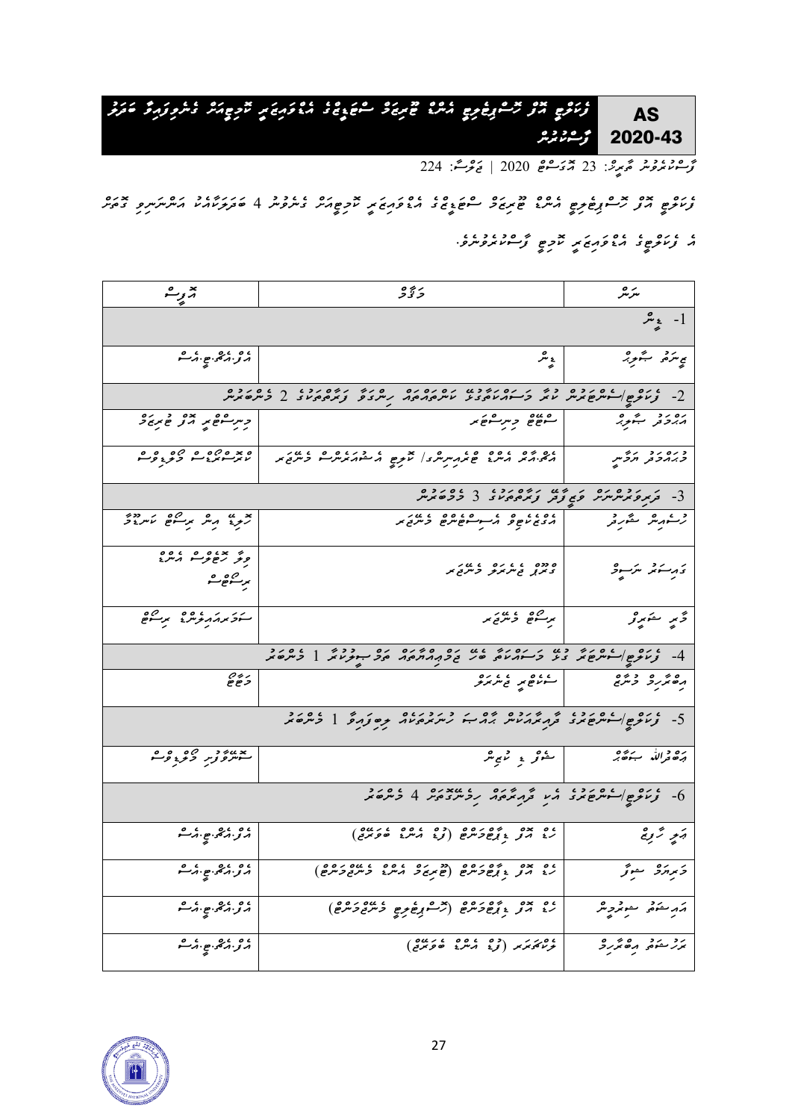AS 2020-43 *ފެކަލްޓީ އޮފް ހޮސްޕިޓެލިޓީ އެންޑް ޓޫރިޒަމް ސްޓަޑީޒްގެ އެޑްވައިޒަރީ ކޮމިޓީއަށް ގެނެވިފައިވާ ބަދަލު ފާސްކުރުން* 

*ފާސްކުރެވުނު ތާރީޚ:ް 23 އޮގަސްޓް 2020 | ޖަލްސ:ާ 224* 

*ފެކަލްޓީ އޮފް ހޮސްޕިޓެލިޓީ އެންޑް ޓޫރިޒަމް ސްޓަޑީޒްގެ އެޑްވައިޒަރީ ކޮމިޓީއަށް ގެނެވުނު 4 ބަދަލަކާއެކު އަންނަނިވި ގޮތަށް އެ ފެކަލްޓީގެ އެޑްވައިޒަރީ ކޮމިޓީ ފާސްކުރެވުނެވ.ެ*

| تهزيبه                                                                                                         | دَ ڏُڻ                                                                                                                                                                                                                                                                                                                                                                               | سرتىر                                                                                                         |  |  |  |
|----------------------------------------------------------------------------------------------------------------|--------------------------------------------------------------------------------------------------------------------------------------------------------------------------------------------------------------------------------------------------------------------------------------------------------------------------------------------------------------------------------------|---------------------------------------------------------------------------------------------------------------|--|--|--|
| $\frac{1}{\epsilon}$ -1                                                                                        |                                                                                                                                                                                                                                                                                                                                                                                      |                                                                                                               |  |  |  |
| ، ه ، دې. ه . ه .<br>د نريز کمې                                                                                | لېمبر                                                                                                                                                                                                                                                                                                                                                                                | ې ترمړ شورو                                                                                                   |  |  |  |
|                                                                                                                | $2 - 2$ , $2 - 3$ , $3 - 3$ , $3 - 3$ , $3 - 3$ , $3 - 3$ , $3 - 3$ , $3 - 3$ , $4 - 3$ , $5 - 2$                                                                                                                                                                                                                                                                                    |                                                                                                               |  |  |  |
| ڊسرڪھير مور ھير و                                                                                              | مصر و مر مصر الله عن الله                                                                                                                                                                                                                                                                                                                                                            | پەردىر سەربە                                                                                                  |  |  |  |
|                                                                                                                |                                                                                                                                                                                                                                                                                                                                                                                      | د ره رد رؤس                                                                                                   |  |  |  |
|                                                                                                                | 3- <i>באקפאייקייק פ</i> י פון היס גבור בסידים.<br>3- בא <i>קפאייקייקיק פיצוק נאקפאי</i> ז 3- ככסאייק                                                                                                                                                                                                                                                                                 |                                                                                                               |  |  |  |
| بر به <sub>م</sub> هر برسم سرده<br>تر <i>و</i> ید م                                                            | رسوره مقرر المصنوع وسوعوه وعدد                                                                                                                                                                                                                                                                                                                                                       |                                                                                                               |  |  |  |
| و د سوره ده ده ده ده د<br>برسكوهوت                                                                             |                                                                                                                                                                                                                                                                                                                                                                                      | تأريب تذكيره                                                                                                  |  |  |  |
| مەدىرە مەدەبىر مەدەب <mark></mark>                                                                             | $\overline{a}$ $\overline{a}$ $\overline{a}$ $\overline{a}$ $\overline{a}$ $\overline{a}$ $\overline{a}$ $\overline{a}$ $\overline{a}$ $\overline{a}$ $\overline{a}$ $\overline{a}$ $\overline{a}$ $\overline{a}$ $\overline{a}$ $\overline{a}$ $\overline{a}$ $\overline{a}$ $\overline{a}$ $\overline{a}$ $\overline{a}$ $\overline{a}$ $\overline{a}$ $\overline{a}$ $\overline{$ | د مندو                                                                                                        |  |  |  |
| 4- ניות פילי בעל כל מינו ובין שע כפיר בירוח בל הית עול בית בירי                                                |                                                                                                                                                                                                                                                                                                                                                                                      |                                                                                                               |  |  |  |
| $e \overset{\circ}{e} \overset{\circ}{e}$                                                                      |                                                                                                                                                                                                                                                                                                                                                                                      | ره نوره د پره د د د د د د د کار د د د کاربر د د کاربر د د کاربر د د کاربر د د د د د د د د د د د د د د د د د د |  |  |  |
| 5- יום שויים מיני יו מינים יום מינים מינים וליום מינים                                                         |                                                                                                                                                                                                                                                                                                                                                                                      |                                                                                                               |  |  |  |
| يد <sub>ىن ئ</sub> ور 29 ۋە م                                                                                  |                                                                                                                                                                                                                                                                                                                                                                                      | ره د لله جوړه .<br>دره د لله جوړه .                                                                           |  |  |  |
| י יים ליית שאב תע ל יינס ויאצים ביינסיג כי היינס ביינסיג ויינסיג ביינסיג ביינסיג ביינסיג ביינסיג ביינסיג ביינס |                                                                                                                                                                                                                                                                                                                                                                                      |                                                                                                               |  |  |  |
| ، و ، دېږې ع . د ه<br>د نورونو په                                                                              | ، <i>٥ × ٥ - ٥ م ٥ ٥ م ٥ م ٥ م ٥ م ٥ م ٥ م م ٥ م م ٥ م م ٥ م م ٥ م م ٥ م م ٥ م م ٥ م .</i><br>رخ م <i>نو</i> و ب <sub>ر</sub> ح <i>و مرح</i> و بر مرحو و مرحوم .                                                                                                                                                                                                                     | ويمو تروج                                                                                                     |  |  |  |
| ، ه ، دې.<br>د زېږې په مرگ                                                                                     |                                                                                                                                                                                                                                                                                                                                                                                      |                                                                                                               |  |  |  |
| ، ه ، د چې چې د شو                                                                                             |                                                                                                                                                                                                                                                                                                                                                                                      |                                                                                                               |  |  |  |
| 9.69.80.00                                                                                                     |                                                                                                                                                                                                                                                                                                                                                                                      |                                                                                                               |  |  |  |

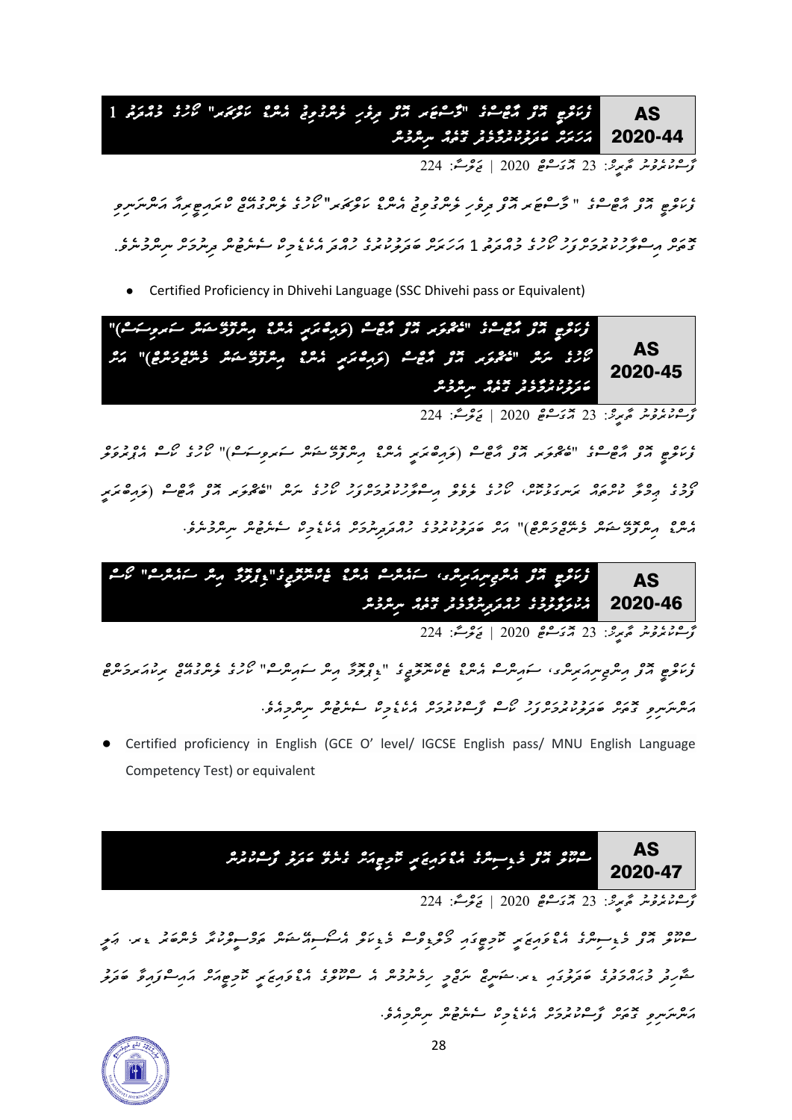AS 2020-44 *ފެކަލްޓީ އޮފް އާޓްސްގެ "މާސްޓަރ އޮފް ދިވެހި ލެންގުވިޖު އެންޑް ކަލްޗަރ" ކޯހުގެ މުއްދަތު 1*  <mark>/ ﻣ</mark>َﺮَﻳُﺮَﻣُ ﻣَﺮِﺩﺩﺩﺩﺩ ﺩ ﻣﻪ ﺩ ﻣﻮﺭ ﻣﺮﻣﺮﺩ ﻣﺮ

*ފާސްކުރެވުނު ތާރީޚ:ް 23 އޮގަސްޓް 2020 | ޖަލްސ:ާ 224* 

*ފެކަލްޓީ އޮފް އާޓްސްގެ " މާސްޓަރ އޮފް ދިވެހި ލެންގުވިޖު އެންޑް ކަލްޗަރ*" *ކޯހުގެ ލެންގުއޭޖް ކްރައިޓީރިއާ އަންނަނިވި ގޮތަށް އިސްލާހުކުރުމަށްފަހު ކޯހުގެ މުއްދަތު* 1 *އަހަރަށް ބަދަލުކުރުގެ ހުއްދަ އެކެޑެމިކް ސެނެޓުން ދިނުމަށް ނިންމުނެވެ* .

● Certified Proficiency in Dhivehi Language (SSC Dhivehi pass or Equivalent)

AS 2020-45 م ره بده بره مع مع ده المده مع مع المركز المده المدين المدين المستمر المستمر المستمر المستمر المستمر المستمر ال حز، سرش " المحركة مع حيم المحركة المحركة المحركة المحركة المحركة عن المحركة المحركة المحركة المحركة المحركة الم *ބަދަލުކުރުމާމެދު ގޮތެއް ނިންމުން* 

ر<br>تۇسىرىمروش مەيرى: 23 مەيكىش 2020 | <sub>تى</sub>رىمىتى: 224

*ފެކަލްޓީ އޮފް އާޓްސްގެ "ބެޗްލަރ އޮފް އާޓްސް )ލައިބްރަރީ އެންޑް އިންފޮމ ޝަން ސަރވިސަސް(" ކޯހުގެ ކޯސް އެޕްރުވަލް ފޯމުގެ ޢިމްލާ ކުށްތައް ރަނގަޅުކޮށ،ް ކޯހުގެ ލެވެލް އިސްލާހުކުރުމަށްފަހު ކޯހުގެ ނަން "ބެޗްލަރ އޮފް އާޓްސް )ލައިބްރަރީ އެންޑް އިންފޮމ ޝަން މެނ ޖްމަންޓް(" އަށް ބަދަލުކުރުމުގެ ހުއްދަދިނުމަށް އެކެޑެމިކް ސެނެޓުން ނިންމުނެވ.ެ* 

AS <mark>2020-46 | *ﻣ*ﺜﺮﮐﯘﻧﯘﺩ ﺋﯘﻣﺮﯨ</mark>ﺮﮔﯜﻧﺮ <del>ﺗ</del>ﯘﻣﯩ ﺳﯩﺮﮔﯩ *ފެކަލްޓީ އޮފް އެންޖިނިއަރިންގ ، ސައެންސް އެންޑް ޓެކްނޮލޮޖީގެ " ޑިޕްލޮމާ އިން ސައެންސް " ކޯސް* 

*ފާސްކުރެވުނު ތާރީޚ:ް 23 އޮގަސްޓް 2020 | ޖަލްސ:ާ 224* 

*ފެކަލްޓީ އޮފް އިންޖިނިއަރިންގ، ސައިންސް އެންޑް ޓެކްނޮލޮޖީގެ "ޑިޕްލޮމާ އިން ސައިންސް" ކޯހުގެ ލެންގުއ ޖް ރިކުއަރމަންޓް އަންނަނިވި ގޮތަށް ބަދަލުކުރުމަށްފަހު ކޯސް ފާސްކުރުމަށް އެކެޑެމިކް ސެނެޓުން ނިންމިއެވ.ެ* 

Certified proficiency in English (GCE O' level/ IGCSE English pass/ MNU English Language Competency Test) or equivalent

*ސްކޫލް އޮފް މެޑިސިންގެ އެޑްވައިޒަރީ ކޮމިޓީއަށް ގެނެވ ބަދަލު ފާސްކުރުން* 

AS 2020-47

*ފާސްކުރެވުނު ތާރީޚ:ް 23 އޮގަސްޓް 2020 | ޖަލްސ:ާ 224* 

*ސްކޫލް އޮފް މެޑިސިންގެ އެޑްވައިޒަރީ ކޮމިޓީގައި މޯލްޑިވްސް މެޑިކަލް އެސޯސިއ ޝަން ތަމްސީލްކުރާ މެންބަރު ޑރ. ޢަލީ ޝާހިދު މުޙައްމަދުގެ ބަދަލުގައި ޑރ.ޝަނީޒް ނަޖްމީ ހިމެނުމުން އެ ސްކޫލްގެ އެޑްވައިޒަރީ ކޮމިޓީއަށް އައިސްފައިވާ ބަދަލު އަންނަނިވި ގޮތަށް ފާސްކުރުމަށް އެކެޑެމިކް ސެނެޓުން ނިންމިއެވ.ެ*